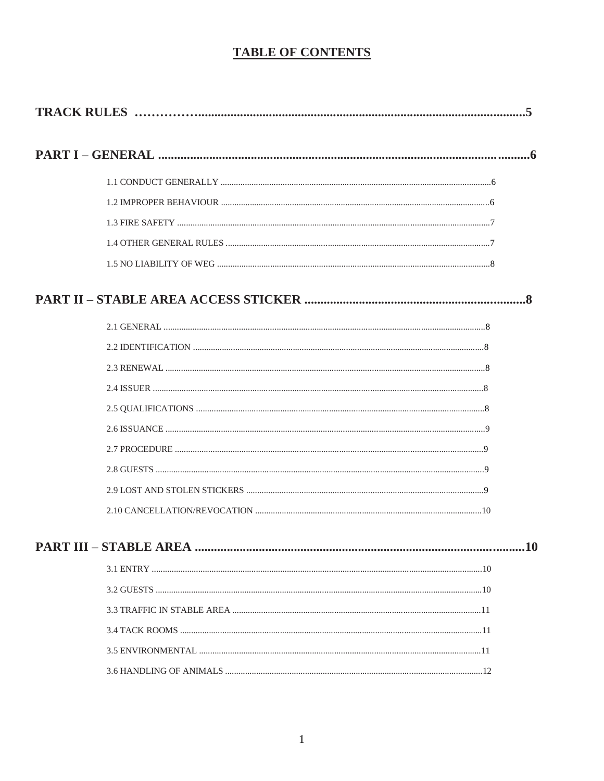# **TABLE OF CONTENTS**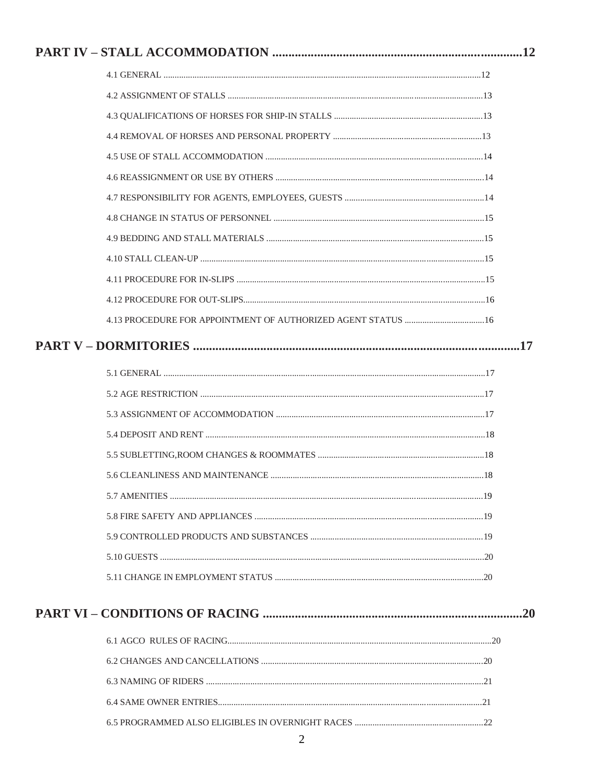| PART V – DORMITORIES ………………………………………………………………………………………17 |  |
|----------------------------------------------------------|--|
|                                                          |  |
|                                                          |  |
|                                                          |  |
|                                                          |  |
|                                                          |  |
|                                                          |  |
|                                                          |  |
|                                                          |  |
|                                                          |  |
|                                                          |  |
|                                                          |  |
|                                                          |  |
|                                                          |  |
|                                                          |  |
|                                                          |  |
|                                                          |  |
|                                                          |  |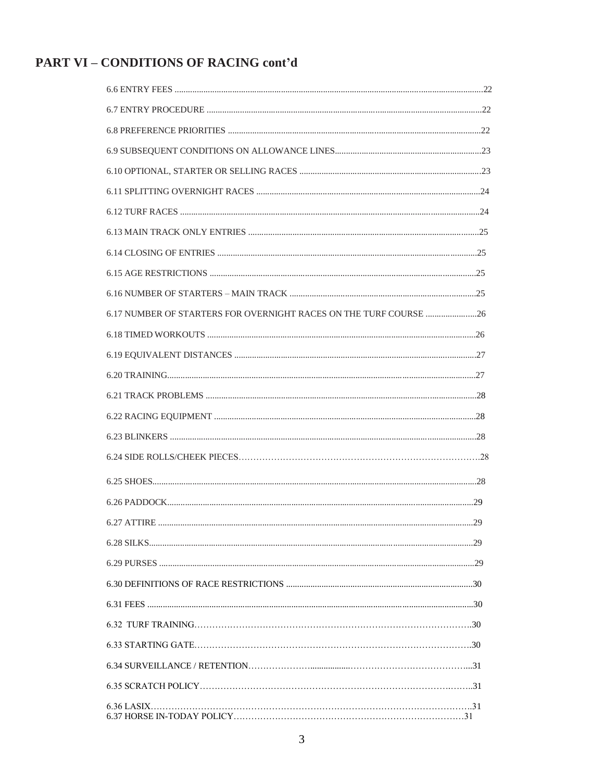# PART VI - CONDITIONS OF RACING cont'd

| 6.17 NUMBER OF STARTERS FOR OVERNIGHT RACES ON THE TURF COURSE  26 |  |
|--------------------------------------------------------------------|--|
|                                                                    |  |
|                                                                    |  |
|                                                                    |  |
|                                                                    |  |
|                                                                    |  |
|                                                                    |  |
|                                                                    |  |
|                                                                    |  |
|                                                                    |  |
| .29                                                                |  |
|                                                                    |  |
|                                                                    |  |
|                                                                    |  |
|                                                                    |  |
|                                                                    |  |
|                                                                    |  |
|                                                                    |  |
|                                                                    |  |
|                                                                    |  |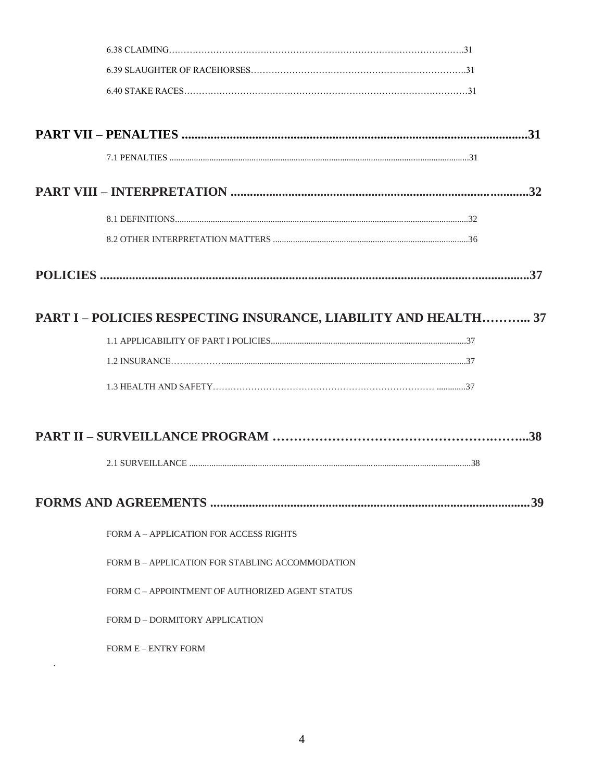| PART I - POLICIES RESPECTING INSURANCE, LIABILITY AND HEALTH 37 |     |
|-----------------------------------------------------------------|-----|
|                                                                 |     |
|                                                                 |     |
|                                                                 |     |
|                                                                 |     |
|                                                                 |     |
|                                                                 |     |
|                                                                 |     |
|                                                                 | -39 |
| FORM A – APPLICATION FOR ACCESS RIGHTS                          |     |
| FORM B – APPLICATION FOR STABLING ACCOMMODATION                 |     |
| FORM C – APPOINTMENT OF AUTHORIZED AGENT STATUS                 |     |
| FORM D – DORMITORY APPLICATION                                  |     |
| <b>FORM E - ENTRY FORM</b>                                      |     |
|                                                                 |     |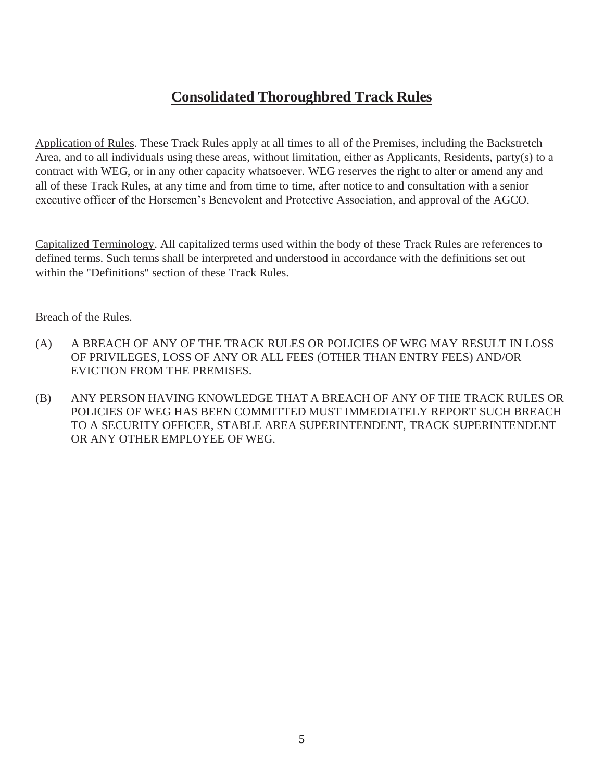# **Consolidated Thoroughbred Track Rules**

Application of Rules. These Track Rules apply at all times to all of the Premises, including the Backstretch Area, and to all individuals using these areas, without limitation, either as Applicants, Residents, party(s) to a contract with WEG, or in any other capacity whatsoever. WEG reserves the right to alter or amend any and all of these Track Rules, at any time and from time to time, after notice to and consultation with a senior executive officer of the Horsemen's Benevolent and Protective Association, and approval of the AGCO.

Capitalized Terminology. All capitalized terms used within the body of these Track Rules are references to defined terms. Such terms shall be interpreted and understood in accordance with the definitions set out within the "Definitions" section of these Track Rules.

Breach of the Rules.

- (A) A BREACH OF ANY OF THE TRACK RULES OR POLICIES OF WEG MAY RESULT IN LOSS OF PRIVILEGES, LOSS OF ANY OR ALL FEES (OTHER THAN ENTRY FEES) AND/OR EVICTION FROM THE PREMISES.
- (B) ANY PERSON HAVING KNOWLEDGE THAT A BREACH OF ANY OF THE TRACK RULES OR POLICIES OF WEG HAS BEEN COMMITTED MUST IMMEDIATELY REPORT SUCH BREACH TO A SECURITY OFFICER, STABLE AREA SUPERINTENDENT, TRACK SUPERINTENDENT OR ANY OTHER EMPLOYEE OF WEG.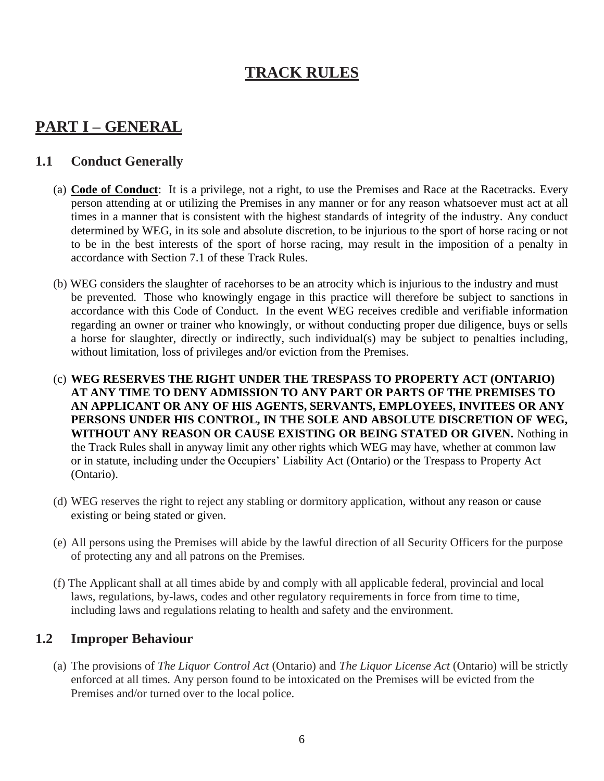# **TRACK RULES**

# **PART I – GENERAL**

# **1.1 Conduct Generally**

- (a) **Code of Conduct**: It is a privilege, not a right, to use the Premises and Race at the Racetracks. Every person attending at or utilizing the Premises in any manner or for any reason whatsoever must act at all times in a manner that is consistent with the highest standards of integrity of the industry. Any conduct determined by WEG, in its sole and absolute discretion, to be injurious to the sport of horse racing or not to be in the best interests of the sport of horse racing, may result in the imposition of a penalty in accordance with Section 7.1 of these Track Rules.
- (b) WEG considers the slaughter of racehorses to be an atrocity which is injurious to the industry and must be prevented. Those who knowingly engage in this practice will therefore be subject to sanctions in accordance with this Code of Conduct. In the event WEG receives credible and verifiable information regarding an owner or trainer who knowingly, or without conducting proper due diligence, buys or sells a horse for slaughter, directly or indirectly, such individual(s) may be subject to penalties including, without limitation, loss of privileges and/or eviction from the Premises.
- (c) **WEG RESERVES THE RIGHT UNDER THE TRESPASS TO PROPERTY ACT (ONTARIO) AT ANY TIME TO DENY ADMISSION TO ANY PART OR PARTS OF THE PREMISES TO AN APPLICANT OR ANY OF HIS AGENTS, SERVANTS, EMPLOYEES, INVITEES OR ANY PERSONS UNDER HIS CONTROL, IN THE SOLE AND ABSOLUTE DISCRETION OF WEG, WITHOUT ANY REASON OR CAUSE EXISTING OR BEING STATED OR GIVEN.** Nothing in the Track Rules shall in anyway limit any other rights which WEG may have, whether at common law or in statute, including under the Occupiers' Liability Act (Ontario) or the Trespass to Property Act (Ontario).
- (d) WEG reserves the right to reject any stabling or dormitory application, without any reason or cause existing or being stated or given.
- (e) All persons using the Premises will abide by the lawful direction of all Security Officers for the purpose of protecting any and all patrons on the Premises.
- (f) The Applicant shall at all times abide by and comply with all applicable federal, provincial and local laws, regulations, by-laws, codes and other regulatory requirements in force from time to time, including laws and regulations relating to health and safety and the environment.

# **1.2 Improper Behaviour**

(a) The provisions of *The Liquor Control Act* (Ontario) and *The Liquor License Act* (Ontario) will be strictly enforced at all times. Any person found to be intoxicated on the Premises will be evicted from the Premises and/or turned over to the local police.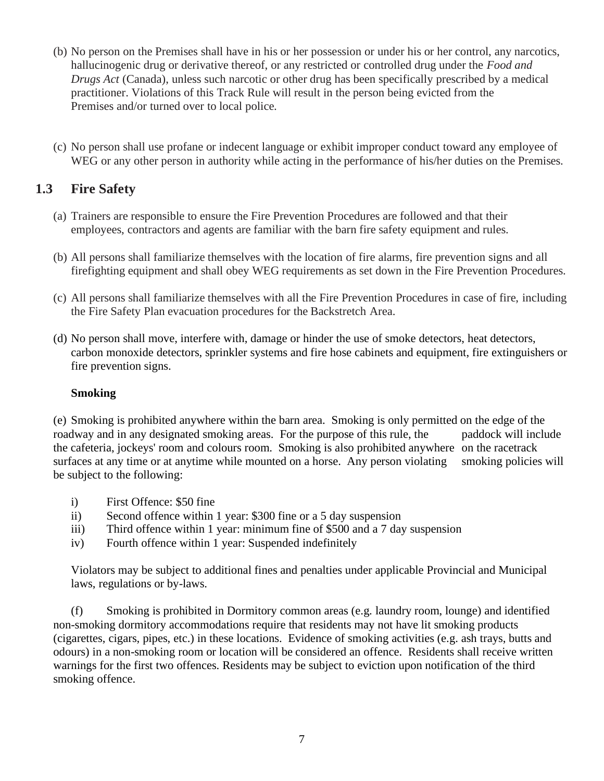- (b) No person on the Premises shall have in his or her possession or under his or her control, any narcotics, hallucinogenic drug or derivative thereof, or any restricted or controlled drug under the *Food and Drugs Act* (Canada), unless such narcotic or other drug has been specifically prescribed by a medical practitioner. Violations of this Track Rule will result in the person being evicted from the Premises and/or turned over to local police.
- (c) No person shall use profane or indecent language or exhibit improper conduct toward any employee of WEG or any other person in authority while acting in the performance of his/her duties on the Premises.

# **1.3 Fire Safety**

- (a) Trainers are responsible to ensure the Fire Prevention Procedures are followed and that their employees, contractors and agents are familiar with the barn fire safety equipment and rules.
- (b) All persons shall familiarize themselves with the location of fire alarms, fire prevention signs and all firefighting equipment and shall obey WEG requirements as set down in the Fire Prevention Procedures.
- (c) All persons shall familiarize themselves with all the Fire Prevention Procedures in case of fire, including the Fire Safety Plan evacuation procedures for the Backstretch Area.
- (d) No person shall move, interfere with, damage or hinder the use of smoke detectors, heat detectors, carbon monoxide detectors, sprinkler systems and fire hose cabinets and equipment, fire extinguishers or fire prevention signs.

#### **Smoking**

(e) Smoking is prohibited anywhere within the barn area. Smoking is only permitted on the edge of the roadway and in any designated smoking areas. For the purpose of this rule, the paddock will include the cafeteria, jockeys' room and colours room. Smoking is also prohibited anywhere on the racetrack surfaces at any time or at anytime while mounted on a horse. Any person violating smoking policies will be subject to the following:

- i) First Offence: \$50 fine
- ii) Second offence within 1 year: \$300 fine or a 5 day suspension
- iii) Third offence within 1 year: minimum fine of \$500 and a 7 day suspension
- iv) Fourth offence within 1 year: Suspended indefinitely

Violators may be subject to additional fines and penalties under applicable Provincial and Municipal laws, regulations or by-laws.

(f) Smoking is prohibited in Dormitory common areas (e.g. laundry room, lounge) and identified non-smoking dormitory accommodations require that residents may not have lit smoking products (cigarettes, cigars, pipes, etc.) in these locations. Evidence of smoking activities (e.g. ash trays, butts and odours) in a non-smoking room or location will be considered an offence. Residents shall receive written warnings for the first two offences. Residents may be subject to eviction upon notification of the third smoking offence.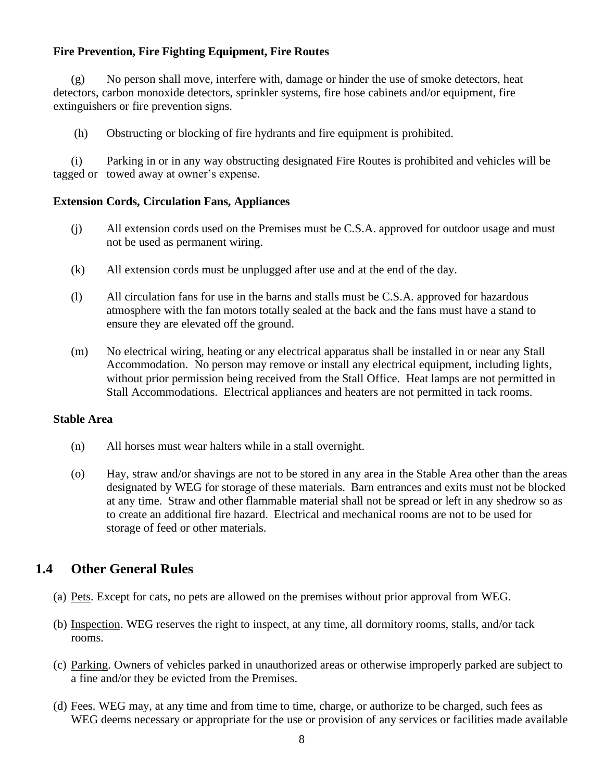#### **Fire Prevention, Fire Fighting Equipment, Fire Routes**

(g) No person shall move, interfere with, damage or hinder the use of smoke detectors, heat detectors, carbon monoxide detectors, sprinkler systems, fire hose cabinets and/or equipment, fire extinguishers or fire prevention signs.

(h) Obstructing or blocking of fire hydrants and fire equipment is prohibited.

(i) Parking in or in any way obstructing designated Fire Routes is prohibited and vehicles will be tagged or towed away at owner's expense.

#### **Extension Cords, Circulation Fans, Appliances**

- (j) All extension cords used on the Premises must be C.S.A. approved for outdoor usage and must not be used as permanent wiring.
- (k) All extension cords must be unplugged after use and at the end of the day.
- (l) All circulation fans for use in the barns and stalls must be C.S.A. approved for hazardous atmosphere with the fan motors totally sealed at the back and the fans must have a stand to ensure they are elevated off the ground.
- (m) No electrical wiring, heating or any electrical apparatus shall be installed in or near any Stall Accommodation. No person may remove or install any electrical equipment, including lights, without prior permission being received from the Stall Office. Heat lamps are not permitted in Stall Accommodations. Electrical appliances and heaters are not permitted in tack rooms.

#### **Stable Area**

- (n) All horses must wear halters while in a stall overnight.
- (o) Hay, straw and/or shavings are not to be stored in any area in the Stable Area other than the areas designated by WEG for storage of these materials. Barn entrances and exits must not be blocked at any time. Straw and other flammable material shall not be spread or left in any shedrow so as to create an additional fire hazard. Electrical and mechanical rooms are not to be used for storage of feed or other materials.

# **1.4 Other General Rules**

- (a) Pets. Except for cats, no pets are allowed on the premises without prior approval from WEG.
- (b) Inspection. WEG reserves the right to inspect, at any time, all dormitory rooms, stalls, and/or tack rooms.
- (c) Parking. Owners of vehicles parked in unauthorized areas or otherwise improperly parked are subject to a fine and/or they be evicted from the Premises.
- (d) Fees. WEG may, at any time and from time to time, charge, or authorize to be charged, such fees as WEG deems necessary or appropriate for the use or provision of any services or facilities made available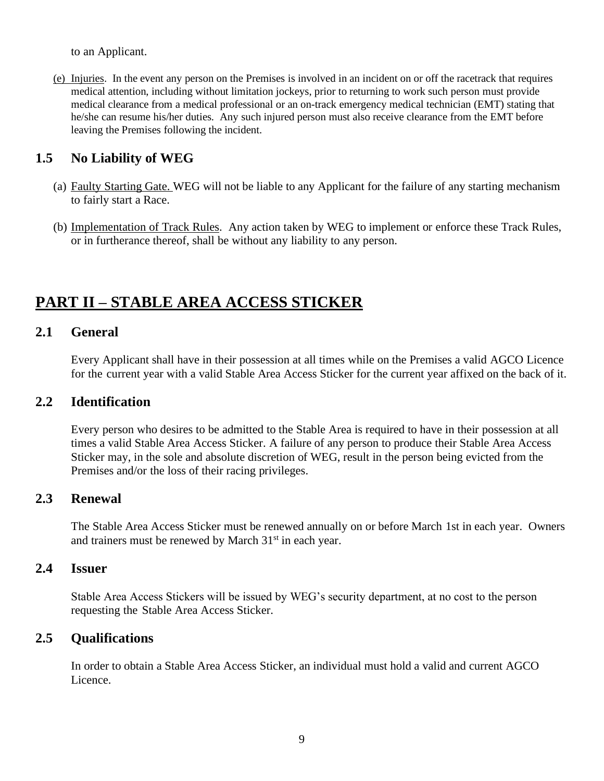to an Applicant.

(e) Injuries. In the event any person on the Premises is involved in an incident on or off the racetrack that requires medical attention, including without limitation jockeys, prior to returning to work such person must provide medical clearance from a medical professional or an on-track emergency medical technician (EMT) stating that he/she can resume his/her duties. Any such injured person must also receive clearance from the EMT before leaving the Premises following the incident.

# **1.5 No Liability of WEG**

- (a) Faulty Starting Gate. WEG will not be liable to any Applicant for the failure of any starting mechanism to fairly start a Race.
- (b) Implementation of Track Rules. Any action taken by WEG to implement or enforce these Track Rules, or in furtherance thereof, shall be without any liability to any person.

# **PART II – STABLE AREA ACCESS STICKER**

#### **2.1 General**

Every Applicant shall have in their possession at all times while on the Premises a valid AGCO Licence for the current year with a valid Stable Area Access Sticker for the current year affixed on the back of it.

#### **2.2 Identification**

Every person who desires to be admitted to the Stable Area is required to have in their possession at all times a valid Stable Area Access Sticker. A failure of any person to produce their Stable Area Access Sticker may, in the sole and absolute discretion of WEG, result in the person being evicted from the Premises and/or the loss of their racing privileges.

#### **2.3 Renewal**

The Stable Area Access Sticker must be renewed annually on or before March 1st in each year. Owners and trainers must be renewed by March 31<sup>st</sup> in each year.

#### **2.4 Issuer**

Stable Area Access Stickers will be issued by WEG's security department, at no cost to the person requesting the Stable Area Access Sticker.

#### **2.5 Qualifications**

In order to obtain a Stable Area Access Sticker, an individual must hold a valid and current AGCO Licence.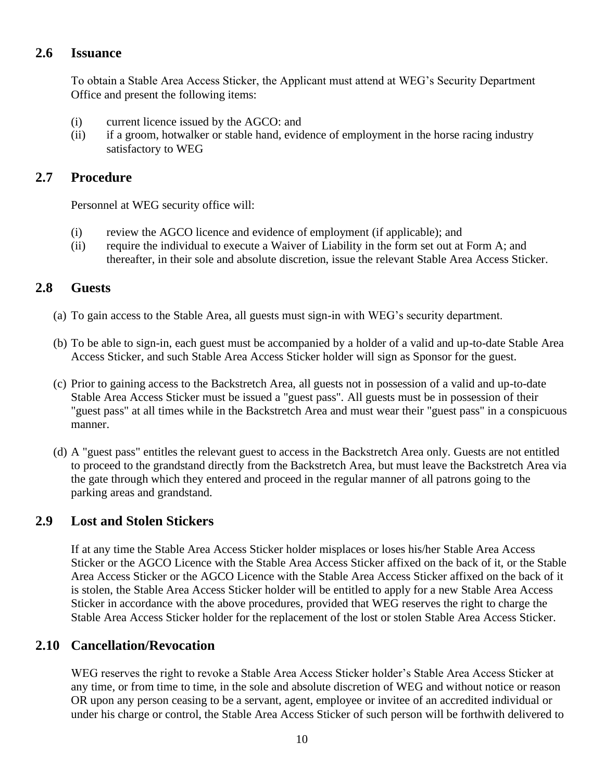# **2.6 Issuance**

To obtain a Stable Area Access Sticker, the Applicant must attend at WEG's Security Department Office and present the following items:

- (i) current licence issued by the AGCO: and
- (ii) if a groom, hotwalker or stable hand, evidence of employment in the horse racing industry satisfactory to WEG

#### **2.7 Procedure**

Personnel at WEG security office will:

- (i) review the AGCO licence and evidence of employment (if applicable); and
- (ii) require the individual to execute a Waiver of Liability in the form set out at Form A; and thereafter, in their sole and absolute discretion, issue the relevant Stable Area Access Sticker.

#### **2.8 Guests**

- (a) To gain access to the Stable Area, all guests must sign-in with WEG's security department.
- (b) To be able to sign-in, each guest must be accompanied by a holder of a valid and up-to-date Stable Area Access Sticker, and such Stable Area Access Sticker holder will sign as Sponsor for the guest.
- (c) Prior to gaining access to the Backstretch Area, all guests not in possession of a valid and up-to-date Stable Area Access Sticker must be issued a "guest pass". All guests must be in possession of their "guest pass" at all times while in the Backstretch Area and must wear their "guest pass" in a conspicuous manner.
- (d) A "guest pass" entitles the relevant guest to access in the Backstretch Area only. Guests are not entitled to proceed to the grandstand directly from the Backstretch Area, but must leave the Backstretch Area via the gate through which they entered and proceed in the regular manner of all patrons going to the parking areas and grandstand.

#### **2.9 Lost and Stolen Stickers**

If at any time the Stable Area Access Sticker holder misplaces or loses his/her Stable Area Access Sticker or the AGCO Licence with the Stable Area Access Sticker affixed on the back of it, or the Stable Area Access Sticker or the AGCO Licence with the Stable Area Access Sticker affixed on the back of it is stolen, the Stable Area Access Sticker holder will be entitled to apply for a new Stable Area Access Sticker in accordance with the above procedures, provided that WEG reserves the right to charge the Stable Area Access Sticker holder for the replacement of the lost or stolen Stable Area Access Sticker.

#### **2.10 Cancellation/Revocation**

WEG reserves the right to revoke a Stable Area Access Sticker holder's Stable Area Access Sticker at any time, or from time to time, in the sole and absolute discretion of WEG and without notice or reason OR upon any person ceasing to be a servant, agent, employee or invitee of an accredited individual or under his charge or control, the Stable Area Access Sticker of such person will be forthwith delivered to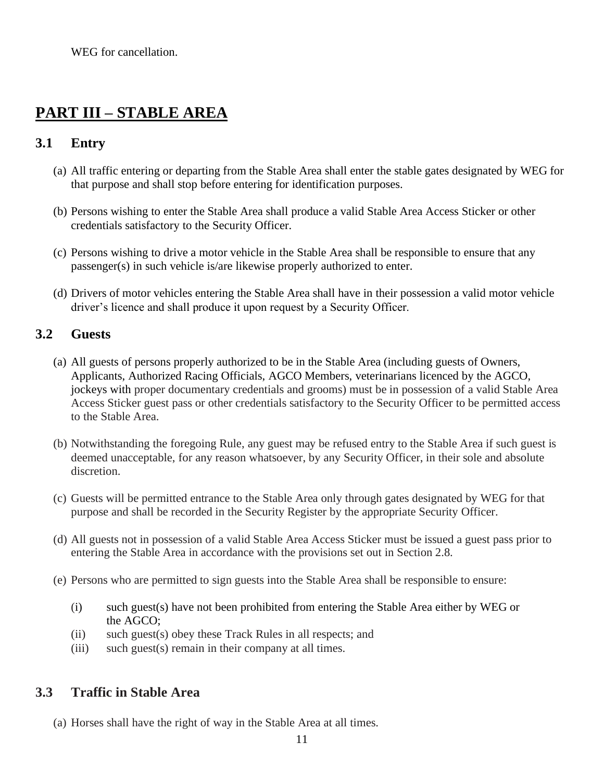WEG for cancellation.

# **PART III – STABLE AREA**

# **3.1 Entry**

- (a) All traffic entering or departing from the Stable Area shall enter the stable gates designated by WEG for that purpose and shall stop before entering for identification purposes.
- (b) Persons wishing to enter the Stable Area shall produce a valid Stable Area Access Sticker or other credentials satisfactory to the Security Officer.
- (c) Persons wishing to drive a motor vehicle in the Stable Area shall be responsible to ensure that any passenger(s) in such vehicle is/are likewise properly authorized to enter.
- (d) Drivers of motor vehicles entering the Stable Area shall have in their possession a valid motor vehicle driver's licence and shall produce it upon request by a Security Officer.

#### **3.2 Guests**

- (a) All guests of persons properly authorized to be in the Stable Area (including guests of Owners, Applicants, Authorized Racing Officials, AGCO Members, veterinarians licenced by the AGCO, jockeys with proper documentary credentials and grooms) must be in possession of a valid Stable Area Access Sticker guest pass or other credentials satisfactory to the Security Officer to be permitted access to the Stable Area.
- (b) Notwithstanding the foregoing Rule, any guest may be refused entry to the Stable Area if such guest is deemed unacceptable, for any reason whatsoever, by any Security Officer, in their sole and absolute discretion.
- (c) Guests will be permitted entrance to the Stable Area only through gates designated by WEG for that purpose and shall be recorded in the Security Register by the appropriate Security Officer.
- (d) All guests not in possession of a valid Stable Area Access Sticker must be issued a guest pass prior to entering the Stable Area in accordance with the provisions set out in Section 2.8.
- (e) Persons who are permitted to sign guests into the Stable Area shall be responsible to ensure:
	- (i) such guest(s) have not been prohibited from entering the Stable Area either by WEG or the AGCO;
	- (ii) such guest(s) obey these Track Rules in all respects; and
	- (iii) such guest(s) remain in their company at all times.

# **3.3 Traffic in Stable Area**

(a) Horses shall have the right of way in the Stable Area at all times.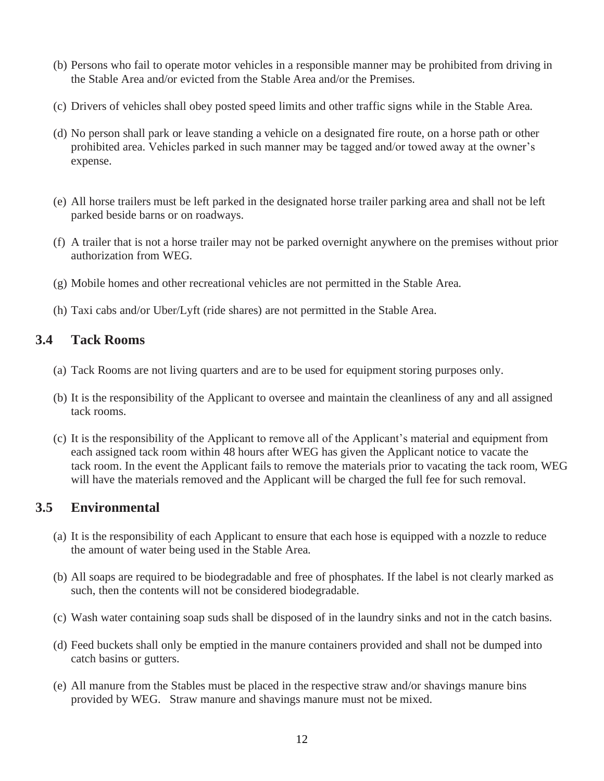- (b) Persons who fail to operate motor vehicles in a responsible manner may be prohibited from driving in the Stable Area and/or evicted from the Stable Area and/or the Premises.
- (c) Drivers of vehicles shall obey posted speed limits and other traffic signs while in the Stable Area.
- (d) No person shall park or leave standing a vehicle on a designated fire route, on a horse path or other prohibited area. Vehicles parked in such manner may be tagged and/or towed away at the owner's expense.
- (e) All horse trailers must be left parked in the designated horse trailer parking area and shall not be left parked beside barns or on roadways.
- (f) A trailer that is not a horse trailer may not be parked overnight anywhere on the premises without prior authorization from WEG.
- (g) Mobile homes and other recreational vehicles are not permitted in the Stable Area.
- (h) Taxi cabs and/or Uber/Lyft (ride shares) are not permitted in the Stable Area.

#### **3.4 Tack Rooms**

- (a) Tack Rooms are not living quarters and are to be used for equipment storing purposes only.
- (b) It is the responsibility of the Applicant to oversee and maintain the cleanliness of any and all assigned tack rooms.
- (c) It is the responsibility of the Applicant to remove all of the Applicant's material and equipment from each assigned tack room within 48 hours after WEG has given the Applicant notice to vacate the tack room. In the event the Applicant fails to remove the materials prior to vacating the tack room, WEG will have the materials removed and the Applicant will be charged the full fee for such removal.

#### **3.5 Environmental**

- (a) It is the responsibility of each Applicant to ensure that each hose is equipped with a nozzle to reduce the amount of water being used in the Stable Area.
- (b) All soaps are required to be biodegradable and free of phosphates. If the label is not clearly marked as such, then the contents will not be considered biodegradable.
- (c) Wash water containing soap suds shall be disposed of in the laundry sinks and not in the catch basins.
- (d) Feed buckets shall only be emptied in the manure containers provided and shall not be dumped into catch basins or gutters.
- (e) All manure from the Stables must be placed in the respective straw and/or shavings manure bins provided by WEG. Straw manure and shavings manure must not be mixed.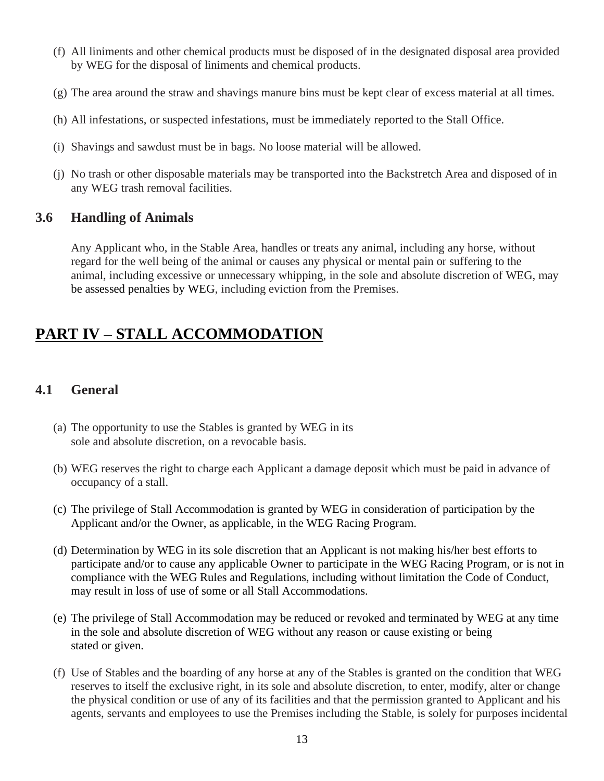- (f) All liniments and other chemical products must be disposed of in the designated disposal area provided by WEG for the disposal of liniments and chemical products.
- (g) The area around the straw and shavings manure bins must be kept clear of excess material at all times.
- (h) All infestations, or suspected infestations, must be immediately reported to the Stall Office.
- (i) Shavings and sawdust must be in bags. No loose material will be allowed.
- (j) No trash or other disposable materials may be transported into the Backstretch Area and disposed of in any WEG trash removal facilities.

#### **3.6 Handling of Animals**

Any Applicant who, in the Stable Area, handles or treats any animal, including any horse, without regard for the well being of the animal or causes any physical or mental pain or suffering to the animal, including excessive or unnecessary whipping, in the sole and absolute discretion of WEG, may be assessed penalties by WEG, including eviction from the Premises.

# **PART IV – STALL ACCOMMODATION**

# **4.1 General**

- (a) The opportunity to use the Stables is granted by WEG in its sole and absolute discretion, on a revocable basis.
- (b) WEG reserves the right to charge each Applicant a damage deposit which must be paid in advance of occupancy of a stall.
- (c) The privilege of Stall Accommodation is granted by WEG in consideration of participation by the Applicant and/or the Owner, as applicable, in the WEG Racing Program.
- (d) Determination by WEG in its sole discretion that an Applicant is not making his/her best efforts to participate and/or to cause any applicable Owner to participate in the WEG Racing Program, or is not in compliance with the WEG Rules and Regulations, including without limitation the Code of Conduct, may result in loss of use of some or all Stall Accommodations.
- (e) The privilege of Stall Accommodation may be reduced or revoked and terminated by WEG at any time in the sole and absolute discretion of WEG without any reason or cause existing or being stated or given.
- (f) Use of Stables and the boarding of any horse at any of the Stables is granted on the condition that WEG reserves to itself the exclusive right, in its sole and absolute discretion, to enter, modify, alter or change the physical condition or use of any of its facilities and that the permission granted to Applicant and his agents, servants and employees to use the Premises including the Stable, is solely for purposes incidental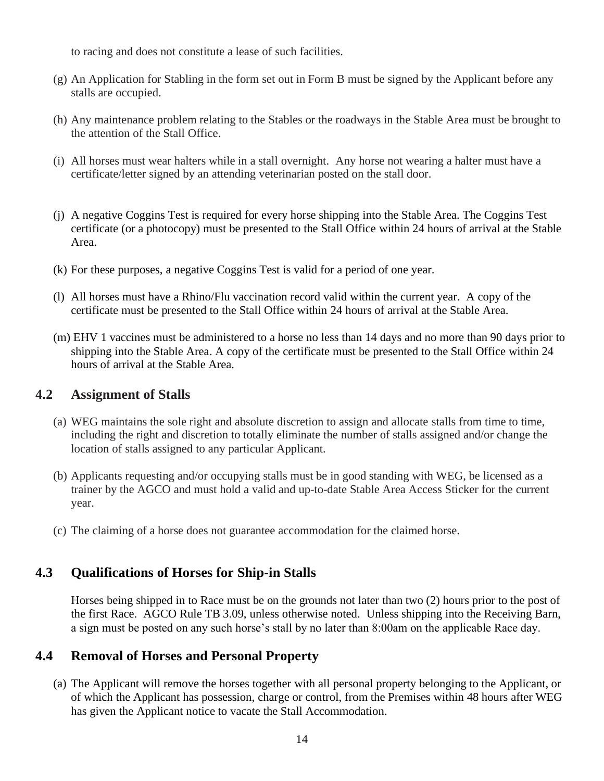to racing and does not constitute a lease of such facilities.

- (g) An Application for Stabling in the form set out in Form B must be signed by the Applicant before any stalls are occupied.
- (h) Any maintenance problem relating to the Stables or the roadways in the Stable Area must be brought to the attention of the Stall Office.
- (i) All horses must wear halters while in a stall overnight. Any horse not wearing a halter must have a certificate/letter signed by an attending veterinarian posted on the stall door.
- (j) A negative Coggins Test is required for every horse shipping into the Stable Area. The Coggins Test certificate (or a photocopy) must be presented to the Stall Office within 24 hours of arrival at the Stable Area.
- (k) For these purposes, a negative Coggins Test is valid for a period of one year.
- (l) All horses must have a Rhino/Flu vaccination record valid within the current year. A copy of the certificate must be presented to the Stall Office within 24 hours of arrival at the Stable Area.
- (m) EHV 1 vaccines must be administered to a horse no less than 14 days and no more than 90 days prior to shipping into the Stable Area. A copy of the certificate must be presented to the Stall Office within 24 hours of arrival at the Stable Area.

#### **4.2 Assignment of Stalls**

- (a) WEG maintains the sole right and absolute discretion to assign and allocate stalls from time to time, including the right and discretion to totally eliminate the number of stalls assigned and/or change the location of stalls assigned to any particular Applicant.
- (b) Applicants requesting and/or occupying stalls must be in good standing with WEG, be licensed as a trainer by the AGCO and must hold a valid and up-to-date Stable Area Access Sticker for the current year.
- (c) The claiming of a horse does not guarantee accommodation for the claimed horse.

# **4.3 Qualifications of Horses for Ship-in Stalls**

Horses being shipped in to Race must be on the grounds not later than two (2) hours prior to the post of the first Race. AGCO Rule TB 3.09, unless otherwise noted. Unless shipping into the Receiving Barn, a sign must be posted on any such horse's stall by no later than 8:00am on the applicable Race day.

# **4.4 Removal of Horses and Personal Property**

(a) The Applicant will remove the horses together with all personal property belonging to the Applicant, or of which the Applicant has possession, charge or control, from the Premises within 48 hours after WEG has given the Applicant notice to vacate the Stall Accommodation.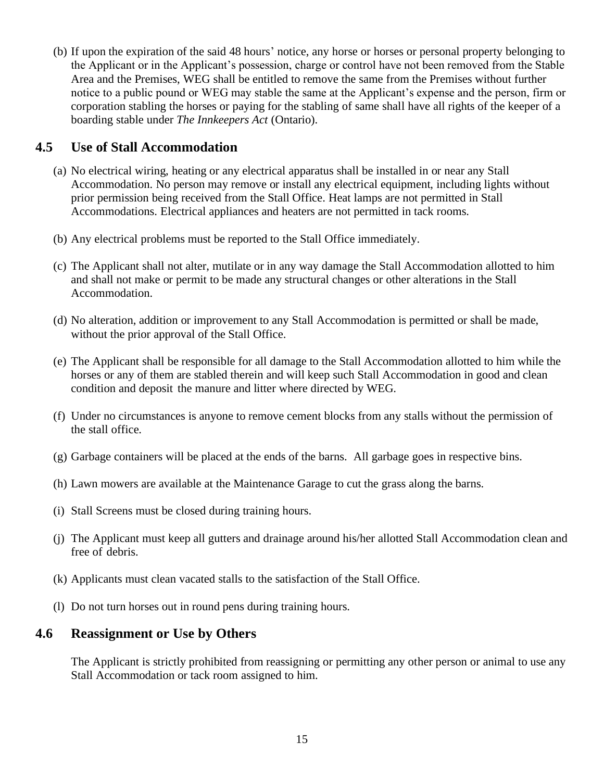(b) If upon the expiration of the said 48 hours' notice, any horse or horses or personal property belonging to the Applicant or in the Applicant's possession, charge or control have not been removed from the Stable Area and the Premises, WEG shall be entitled to remove the same from the Premises without further notice to a public pound or WEG may stable the same at the Applicant's expense and the person, firm or corporation stabling the horses or paying for the stabling of same shall have all rights of the keeper of a boarding stable under *The Innkeepers Act* (Ontario).

#### **4.5 Use of Stall Accommodation**

- (a) No electrical wiring, heating or any electrical apparatus shall be installed in or near any Stall Accommodation. No person may remove or install any electrical equipment, including lights without prior permission being received from the Stall Office. Heat lamps are not permitted in Stall Accommodations. Electrical appliances and heaters are not permitted in tack rooms.
- (b) Any electrical problems must be reported to the Stall Office immediately.
- (c) The Applicant shall not alter, mutilate or in any way damage the Stall Accommodation allotted to him and shall not make or permit to be made any structural changes or other alterations in the Stall Accommodation.
- (d) No alteration, addition or improvement to any Stall Accommodation is permitted or shall be made, without the prior approval of the Stall Office.
- (e) The Applicant shall be responsible for all damage to the Stall Accommodation allotted to him while the horses or any of them are stabled therein and will keep such Stall Accommodation in good and clean condition and deposit the manure and litter where directed by WEG.
- (f) Under no circumstances is anyone to remove cement blocks from any stalls without the permission of the stall office.
- (g) Garbage containers will be placed at the ends of the barns. All garbage goes in respective bins.
- (h) Lawn mowers are available at the Maintenance Garage to cut the grass along the barns.
- (i) Stall Screens must be closed during training hours.
- (j) The Applicant must keep all gutters and drainage around his/her allotted Stall Accommodation clean and free of debris.
- (k) Applicants must clean vacated stalls to the satisfaction of the Stall Office.
- (l) Do not turn horses out in round pens during training hours.

#### **4.6 Reassignment or Use by Others**

The Applicant is strictly prohibited from reassigning or permitting any other person or animal to use any Stall Accommodation or tack room assigned to him.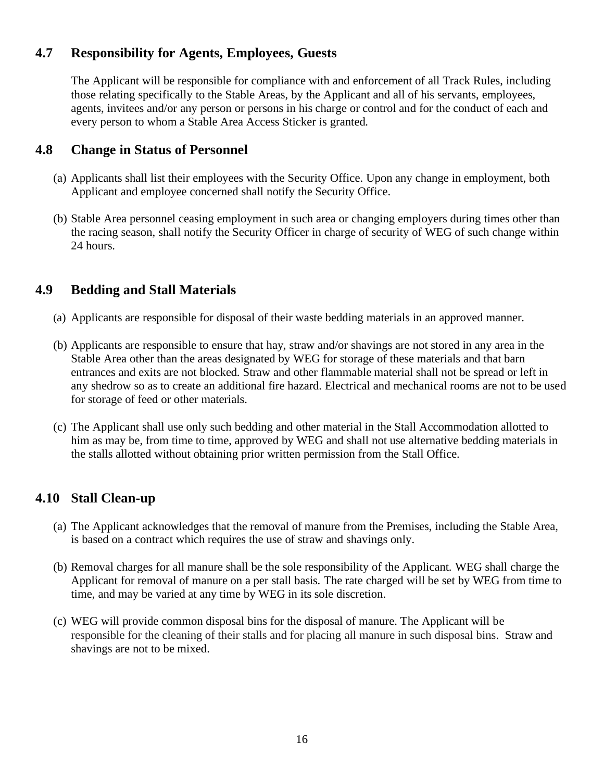# **4.7 Responsibility for Agents, Employees, Guests**

The Applicant will be responsible for compliance with and enforcement of all Track Rules, including those relating specifically to the Stable Areas, by the Applicant and all of his servants, employees, agents, invitees and/or any person or persons in his charge or control and for the conduct of each and every person to whom a Stable Area Access Sticker is granted.

#### **4.8 Change in Status of Personnel**

- (a) Applicants shall list their employees with the Security Office. Upon any change in employment, both Applicant and employee concerned shall notify the Security Office.
- (b) Stable Area personnel ceasing employment in such area or changing employers during times other than the racing season, shall notify the Security Officer in charge of security of WEG of such change within 24 hours.

# **4.9 Bedding and Stall Materials**

- (a) Applicants are responsible for disposal of their waste bedding materials in an approved manner.
- (b) Applicants are responsible to ensure that hay, straw and/or shavings are not stored in any area in the Stable Area other than the areas designated by WEG for storage of these materials and that barn entrances and exits are not blocked. Straw and other flammable material shall not be spread or left in any shedrow so as to create an additional fire hazard. Electrical and mechanical rooms are not to be used for storage of feed or other materials.
- (c) The Applicant shall use only such bedding and other material in the Stall Accommodation allotted to him as may be, from time to time, approved by WEG and shall not use alternative bedding materials in the stalls allotted without obtaining prior written permission from the Stall Office.

# **4.10 Stall Clean-up**

- (a) The Applicant acknowledges that the removal of manure from the Premises, including the Stable Area, is based on a contract which requires the use of straw and shavings only.
- (b) Removal charges for all manure shall be the sole responsibility of the Applicant. WEG shall charge the Applicant for removal of manure on a per stall basis. The rate charged will be set by WEG from time to time, and may be varied at any time by WEG in its sole discretion.
- (c) WEG will provide common disposal bins for the disposal of manure. The Applicant will be responsible for the cleaning of their stalls and for placing all manure in such disposal bins. Straw and shavings are not to be mixed.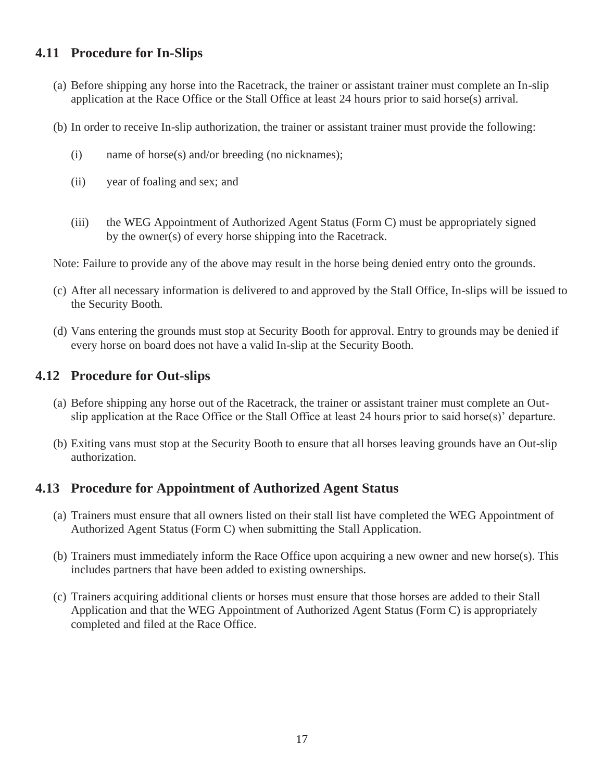# **4.11 Procedure for In-Slips**

- (a) Before shipping any horse into the Racetrack, the trainer or assistant trainer must complete an In-slip application at the Race Office or the Stall Office at least 24 hours prior to said horse(s) arrival.
- (b) In order to receive In-slip authorization, the trainer or assistant trainer must provide the following:
	- (i) name of horse(s) and/or breeding (no nicknames);
	- (ii) year of foaling and sex; and
	- (iii) the WEG Appointment of Authorized Agent Status (Form C) must be appropriately signed by the owner(s) of every horse shipping into the Racetrack.

Note: Failure to provide any of the above may result in the horse being denied entry onto the grounds.

- (c) After all necessary information is delivered to and approved by the Stall Office, In-slips will be issued to the Security Booth.
- (d) Vans entering the grounds must stop at Security Booth for approval. Entry to grounds may be denied if every horse on board does not have a valid In-slip at the Security Booth.

#### **4.12 Procedure for Out-slips**

- (a) Before shipping any horse out of the Racetrack, the trainer or assistant trainer must complete an Outslip application at the Race Office or the Stall Office at least 24 hours prior to said horse(s)' departure.
- (b) Exiting vans must stop at the Security Booth to ensure that all horses leaving grounds have an Out-slip authorization.

#### **4.13 Procedure for Appointment of Authorized Agent Status**

- (a) Trainers must ensure that all owners listed on their stall list have completed the WEG Appointment of Authorized Agent Status (Form C) when submitting the Stall Application.
- (b) Trainers must immediately inform the Race Office upon acquiring a new owner and new horse(s). This includes partners that have been added to existing ownerships.
- (c) Trainers acquiring additional clients or horses must ensure that those horses are added to their Stall Application and that the WEG Appointment of Authorized Agent Status (Form C) is appropriately completed and filed at the Race Office.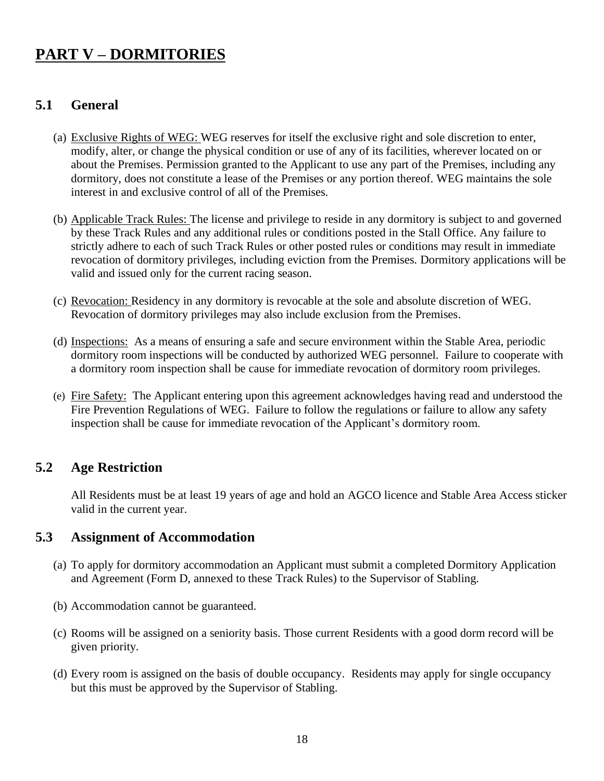# **PART V – DORMITORIES**

# **5.1 General**

- (a) Exclusive Rights of WEG: WEG reserves for itself the exclusive right and sole discretion to enter, modify, alter, or change the physical condition or use of any of its facilities, wherever located on or about the Premises. Permission granted to the Applicant to use any part of the Premises, including any dormitory, does not constitute a lease of the Premises or any portion thereof. WEG maintains the sole interest in and exclusive control of all of the Premises.
- (b) Applicable Track Rules: The license and privilege to reside in any dormitory is subject to and governed by these Track Rules and any additional rules or conditions posted in the Stall Office. Any failure to strictly adhere to each of such Track Rules or other posted rules or conditions may result in immediate revocation of dormitory privileges, including eviction from the Premises. Dormitory applications will be valid and issued only for the current racing season.
- (c) Revocation: Residency in any dormitory is revocable at the sole and absolute discretion of WEG. Revocation of dormitory privileges may also include exclusion from the Premises.
- (d) Inspections: As a means of ensuring a safe and secure environment within the Stable Area, periodic dormitory room inspections will be conducted by authorized WEG personnel. Failure to cooperate with a dormitory room inspection shall be cause for immediate revocation of dormitory room privileges.
- (e) Fire Safety: The Applicant entering upon this agreement acknowledges having read and understood the Fire Prevention Regulations of WEG. Failure to follow the regulations or failure to allow any safety inspection shall be cause for immediate revocation of the Applicant's dormitory room.

# **5.2 Age Restriction**

All Residents must be at least 19 years of age and hold an AGCO licence and Stable Area Access sticker valid in the current year.

#### **5.3 Assignment of Accommodation**

- (a) To apply for dormitory accommodation an Applicant must submit a completed Dormitory Application and Agreement (Form D, annexed to these Track Rules) to the Supervisor of Stabling.
- (b) Accommodation cannot be guaranteed.
- (c) Rooms will be assigned on a seniority basis. Those current Residents with a good dorm record will be given priority.
- (d) Every room is assigned on the basis of double occupancy. Residents may apply for single occupancy but this must be approved by the Supervisor of Stabling.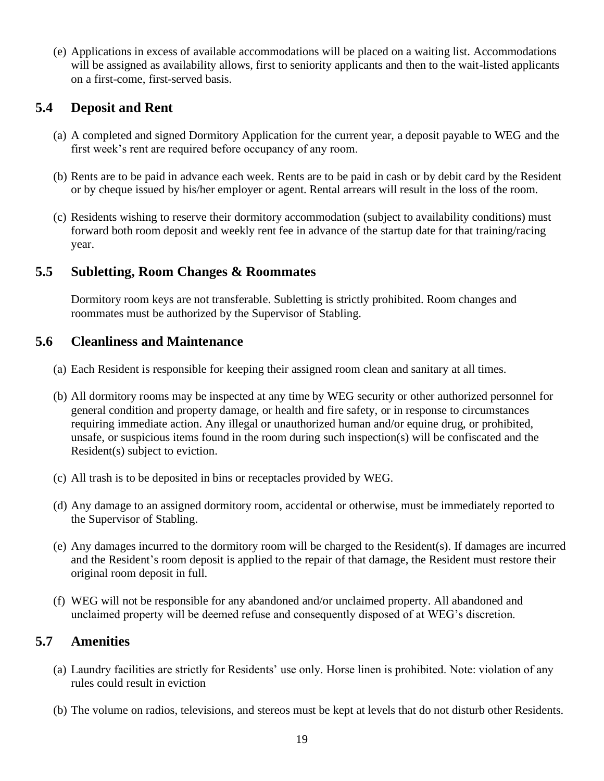(e) Applications in excess of available accommodations will be placed on a waiting list. Accommodations will be assigned as availability allows, first to seniority applicants and then to the wait-listed applicants on a first-come, first-served basis.

# **5.4 Deposit and Rent**

- (a) A completed and signed Dormitory Application for the current year, a deposit payable to WEG and the first week's rent are required before occupancy of any room.
- (b) Rents are to be paid in advance each week. Rents are to be paid in cash or by debit card by the Resident or by cheque issued by his/her employer or agent. Rental arrears will result in the loss of the room.
- (c) Residents wishing to reserve their dormitory accommodation (subject to availability conditions) must forward both room deposit and weekly rent fee in advance of the startup date for that training/racing year.

# **5.5 Subletting, Room Changes & Roommates**

Dormitory room keys are not transferable. Subletting is strictly prohibited. Room changes and roommates must be authorized by the Supervisor of Stabling.

#### **5.6 Cleanliness and Maintenance**

- (a) Each Resident is responsible for keeping their assigned room clean and sanitary at all times.
- (b) All dormitory rooms may be inspected at any time by WEG security or other authorized personnel for general condition and property damage, or health and fire safety, or in response to circumstances requiring immediate action. Any illegal or unauthorized human and/or equine drug, or prohibited, unsafe, or suspicious items found in the room during such inspection(s) will be confiscated and the Resident(s) subject to eviction.
- (c) All trash is to be deposited in bins or receptacles provided by WEG.
- (d) Any damage to an assigned dormitory room, accidental or otherwise, must be immediately reported to the Supervisor of Stabling.
- (e) Any damages incurred to the dormitory room will be charged to the Resident(s). If damages are incurred and the Resident's room deposit is applied to the repair of that damage, the Resident must restore their original room deposit in full.
- (f) WEG will not be responsible for any abandoned and/or unclaimed property. All abandoned and unclaimed property will be deemed refuse and consequently disposed of at WEG's discretion.

# **5.7 Amenities**

- (a) Laundry facilities are strictly for Residents' use only. Horse linen is prohibited. Note: violation of any rules could result in eviction
- (b) The volume on radios, televisions, and stereos must be kept at levels that do not disturb other Residents.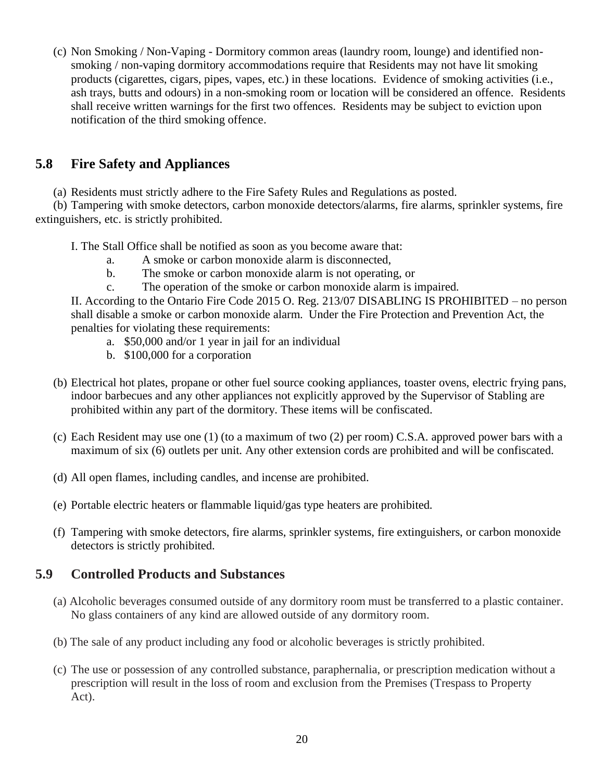(c) Non Smoking / Non-Vaping - Dormitory common areas (laundry room, lounge) and identified nonsmoking / non-vaping dormitory accommodations require that Residents may not have lit smoking products (cigarettes, cigars, pipes, vapes, etc.) in these locations. Evidence of smoking activities (i.e., ash trays, butts and odours) in a non-smoking room or location will be considered an offence. Residents shall receive written warnings for the first two offences. Residents may be subject to eviction upon notification of the third smoking offence.

# **5.8 Fire Safety and Appliances**

(a) Residents must strictly adhere to the Fire Safety Rules and Regulations as posted.

(b) Tampering with smoke detectors, carbon monoxide detectors/alarms, fire alarms, sprinkler systems, fire extinguishers, etc. is strictly prohibited.

- I. The Stall Office shall be notified as soon as you become aware that:
	- a. A smoke or carbon monoxide alarm is disconnected,
	- b. The smoke or carbon monoxide alarm is not operating, or
	- c. The operation of the smoke or carbon monoxide alarm is impaired.

II. According to the Ontario Fire Code 2015 O. Reg. 213/07 DISABLING IS PROHIBITED – no person shall disable a smoke or carbon monoxide alarm. Under the Fire Protection and Prevention Act, the penalties for violating these requirements:

- a. \$50,000 and/or 1 year in jail for an individual
- b. \$100,000 for a corporation
- (b) Electrical hot plates, propane or other fuel source cooking appliances, toaster ovens, electric frying pans, indoor barbecues and any other appliances not explicitly approved by the Supervisor of Stabling are prohibited within any part of the dormitory. These items will be confiscated.
- (c) Each Resident may use one (1) (to a maximum of two (2) per room) C.S.A. approved power bars with a maximum of six (6) outlets per unit. Any other extension cords are prohibited and will be confiscated.
- (d) All open flames, including candles, and incense are prohibited.
- (e) Portable electric heaters or flammable liquid/gas type heaters are prohibited.
- (f) Tampering with smoke detectors, fire alarms, sprinkler systems, fire extinguishers, or carbon monoxide detectors is strictly prohibited.

# **5.9 Controlled Products and Substances**

- (a) Alcoholic beverages consumed outside of any dormitory room must be transferred to a plastic container. No glass containers of any kind are allowed outside of any dormitory room.
- (b) The sale of any product including any food or alcoholic beverages is strictly prohibited.
- (c) The use or possession of any controlled substance, paraphernalia, or prescription medication without a prescription will result in the loss of room and exclusion from the Premises (Trespass to Property Act).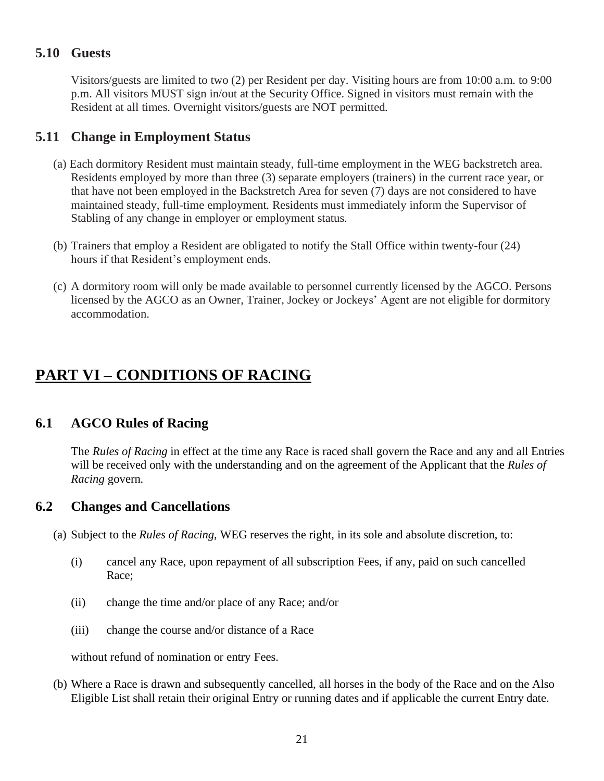# **5.10 Guests**

Visitors/guests are limited to two (2) per Resident per day. Visiting hours are from 10:00 a.m. to 9:00 p.m. All visitors MUST sign in/out at the Security Office. Signed in visitors must remain with the Resident at all times. Overnight visitors/guests are NOT permitted.

# **5.11 Change in Employment Status**

- (a) Each dormitory Resident must maintain steady, full-time employment in the WEG backstretch area. Residents employed by more than three (3) separate employers (trainers) in the current race year, or that have not been employed in the Backstretch Area for seven (7) days are not considered to have maintained steady, full-time employment. Residents must immediately inform the Supervisor of Stabling of any change in employer or employment status.
- (b) Trainers that employ a Resident are obligated to notify the Stall Office within twenty-four (24) hours if that Resident's employment ends.
- (c) A dormitory room will only be made available to personnel currently licensed by the AGCO. Persons licensed by the AGCO as an Owner, Trainer, Jockey or Jockeys' Agent are not eligible for dormitory accommodation.

# **PART VI – CONDITIONS OF RACING**

# **6.1 AGCO Rules of Racing**

The *Rules of Racing* in effect at the time any Race is raced shall govern the Race and any and all Entries will be received only with the understanding and on the agreement of the Applicant that the *Rules of Racing* govern.

# **6.2 Changes and Cancellations**

- (a) Subject to the *Rules of Racing*, WEG reserves the right, in its sole and absolute discretion, to:
	- (i) cancel any Race, upon repayment of all subscription Fees, if any, paid on such cancelled Race;
	- (ii) change the time and/or place of any Race; and/or
	- (iii) change the course and/or distance of a Race

without refund of nomination or entry Fees.

(b) Where a Race is drawn and subsequently cancelled, all horses in the body of the Race and on the Also Eligible List shall retain their original Entry or running dates and if applicable the current Entry date.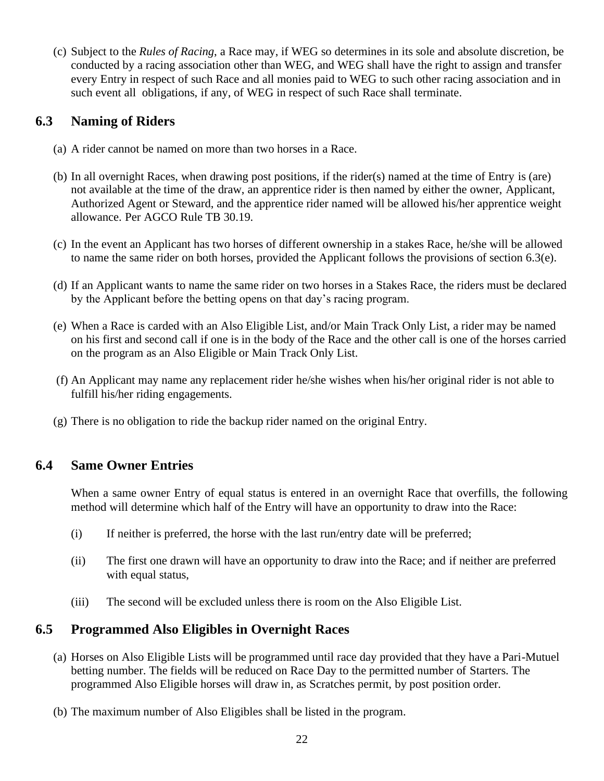(c) Subject to the *Rules of Racing*, a Race may, if WEG so determines in its sole and absolute discretion, be conducted by a racing association other than WEG, and WEG shall have the right to assign and transfer every Entry in respect of such Race and all monies paid to WEG to such other racing association and in such event all obligations, if any, of WEG in respect of such Race shall terminate.

# **6.3 Naming of Riders**

- (a) A rider cannot be named on more than two horses in a Race.
- (b) In all overnight Races, when drawing post positions, if the rider(s) named at the time of Entry is (are) not available at the time of the draw, an apprentice rider is then named by either the owner, Applicant, Authorized Agent or Steward, and the apprentice rider named will be allowed his/her apprentice weight allowance. Per AGCO Rule TB 30.19.
- (c) In the event an Applicant has two horses of different ownership in a stakes Race, he/she will be allowed to name the same rider on both horses, provided the Applicant follows the provisions of section  $6.3(e)$ .
- (d) If an Applicant wants to name the same rider on two horses in a Stakes Race, the riders must be declared by the Applicant before the betting opens on that day's racing program.
- (e) When a Race is carded with an Also Eligible List, and/or Main Track Only List, a rider may be named on his first and second call if one is in the body of the Race and the other call is one of the horses carried on the program as an Also Eligible or Main Track Only List.
- (f) An Applicant may name any replacement rider he/she wishes when his/her original rider is not able to fulfill his/her riding engagements.
- (g) There is no obligation to ride the backup rider named on the original Entry.

# **6.4 Same Owner Entries**

When a same owner Entry of equal status is entered in an overnight Race that overfills, the following method will determine which half of the Entry will have an opportunity to draw into the Race:

- (i) If neither is preferred, the horse with the last run/entry date will be preferred;
- (ii) The first one drawn will have an opportunity to draw into the Race; and if neither are preferred with equal status,
- (iii) The second will be excluded unless there is room on the Also Eligible List.

# **6.5 Programmed Also Eligibles in Overnight Races**

- (a) Horses on Also Eligible Lists will be programmed until race day provided that they have a Pari-Mutuel betting number. The fields will be reduced on Race Day to the permitted number of Starters. The programmed Also Eligible horses will draw in, as Scratches permit, by post position order.
- (b) The maximum number of Also Eligibles shall be listed in the program.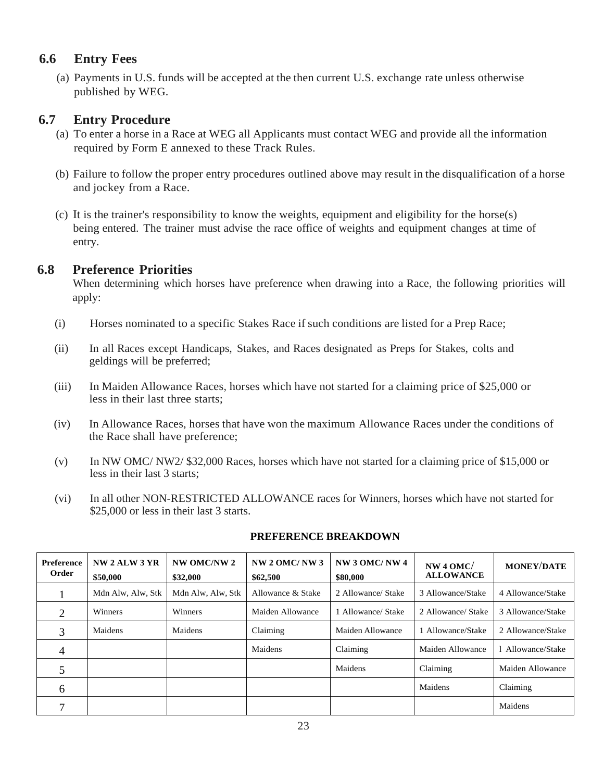#### **6.6 Entry Fees**

(a) Payments in U.S. funds will be accepted at the then current U.S. exchange rate unless otherwise published by WEG.

#### **6.7 Entry Procedure**

- (a) To enter a horse in a Race at WEG all Applicants must contact WEG and provide all the information required by Form E annexed to these Track Rules.
- (b) Failure to follow the proper entry procedures outlined above may result in the disqualification of a horse and jockey from a Race.
- (c) It is the trainer's responsibility to know the weights, equipment and eligibility for the horse(s) being entered. The trainer must advise the race office of weights and equipment changes at time of entry.

#### **6.8 Preference Priorities**

When determining which horses have preference when drawing into a Race, the following priorities will apply:

- (i) Horses nominated to a specific Stakes Race if such conditions are listed for a Prep Race;
- (ii) In all Races except Handicaps, Stakes, and Races designated as Preps for Stakes, colts and geldings will be preferred;
- (iii) In Maiden Allowance Races, horses which have not started for a claiming price of \$25,000 or less in their last three starts;
- (iv) In Allowance Races, horses that have won the maximum Allowance Races under the conditions of the Race shall have preference;
- (v) In NW OMC/ NW2/ \$32,000 Races, horses which have not started for a claiming price of \$15,000 or less in their last 3 starts;
- (vi) In all other NON-RESTRICTED ALLOWANCE races for Winners, horses which have not started for \$25,000 or less in their last 3 starts.

| Preference<br>Order | NW <sub>2</sub> ALW <sub>3</sub> YR<br>\$50,000 | <b>NW OMC/NW 2</b><br>\$32,000 | NW <sub>2</sub> OMC/NW <sub>3</sub><br>\$62,500 | NW 3 OMC/NW 4<br>\$80,000 | NW 4 OMC/<br><b>ALLOWANCE</b> | <b>MONEY/DATE</b> |
|---------------------|-------------------------------------------------|--------------------------------|-------------------------------------------------|---------------------------|-------------------------------|-------------------|
|                     | Mdn Alw, Alw, Stk                               | Mdn Alw, Alw, Stk              | Allowance & Stake                               | 2 Allowance/ Stake        | 3 Allowance/Stake             | 4 Allowance/Stake |
| $\overline{2}$      | Winners                                         | <b>Winners</b>                 | Maiden Allowance                                | 1 Allowance/ Stake        | 2 Allowance/ Stake            | 3 Allowance/Stake |
| 3                   | Maidens                                         | Maidens                        | Claiming                                        | Maiden Allowance          | Allowance/Stake               | 2 Allowance/Stake |
| 4                   |                                                 |                                | Maidens                                         | Claiming                  | Maiden Allowance              | 1 Allowance/Stake |
| 5                   |                                                 |                                |                                                 | Maidens                   | Claiming                      | Maiden Allowance  |
| 6                   |                                                 |                                |                                                 |                           | Maidens                       | Claiming          |
|                     |                                                 |                                |                                                 |                           |                               | Maidens           |

#### **PREFERENCE BREAKDOWN**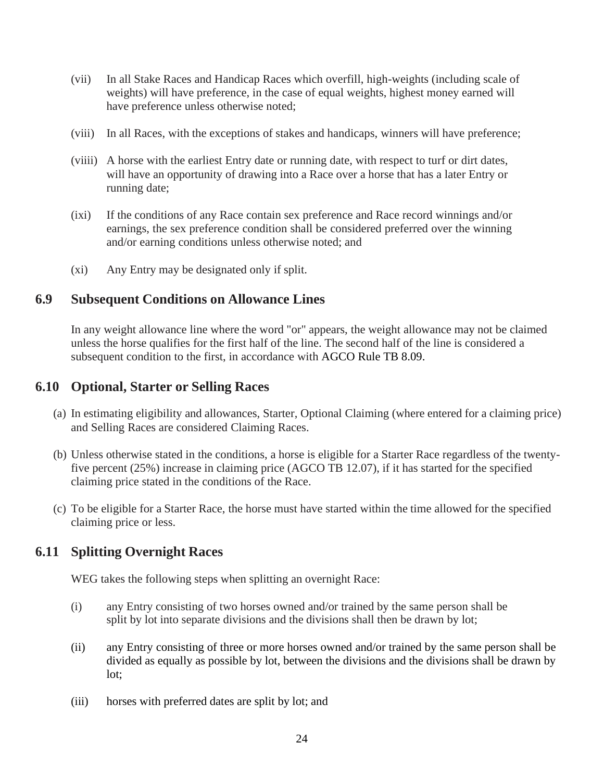- (vii) In all Stake Races and Handicap Races which overfill, high-weights (including scale of weights) will have preference, in the case of equal weights, highest money earned will have preference unless otherwise noted;
- (viii) In all Races, with the exceptions of stakes and handicaps, winners will have preference;
- (viiii) A horse with the earliest Entry date or running date, with respect to turf or dirt dates, will have an opportunity of drawing into a Race over a horse that has a later Entry or running date;
- (ixi) If the conditions of any Race contain sex preference and Race record winnings and/or earnings, the sex preference condition shall be considered preferred over the winning and/or earning conditions unless otherwise noted; and
- (xi) Any Entry may be designated only if split.

#### **6.9 Subsequent Conditions on Allowance Lines**

In any weight allowance line where the word "or" appears, the weight allowance may not be claimed unless the horse qualifies for the first half of the line. The second half of the line is considered a subsequent condition to the first, in accordance with AGCO Rule TB 8.09.

#### **6.10 Optional, Starter or Selling Races**

- (a) In estimating eligibility and allowances, Starter, Optional Claiming (where entered for a claiming price) and Selling Races are considered Claiming Races.
- (b) Unless otherwise stated in the conditions, a horse is eligible for a Starter Race regardless of the twentyfive percent (25%) increase in claiming price (AGCO TB 12.07), if it has started for the specified claiming price stated in the conditions of the Race.
- (c) To be eligible for a Starter Race, the horse must have started within the time allowed for the specified claiming price or less.

# **6.11 Splitting Overnight Races**

WEG takes the following steps when splitting an overnight Race:

- (i) any Entry consisting of two horses owned and/or trained by the same person shall be split by lot into separate divisions and the divisions shall then be drawn by lot;
- (ii) any Entry consisting of three or more horses owned and/or trained by the same person shall be divided as equally as possible by lot, between the divisions and the divisions shall be drawn by lot;
- (iii) horses with preferred dates are split by lot; and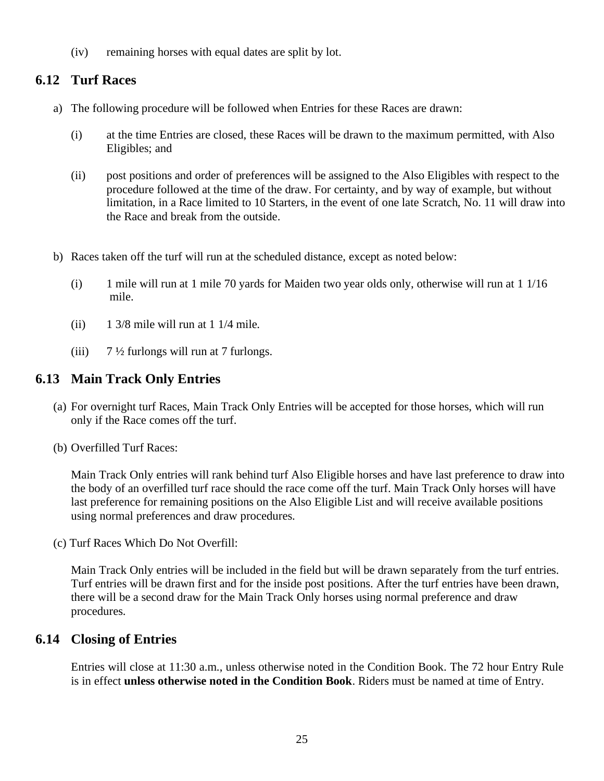(iv) remaining horses with equal dates are split by lot.

# **6.12 Turf Races**

- a) The following procedure will be followed when Entries for these Races are drawn:
	- (i) at the time Entries are closed, these Races will be drawn to the maximum permitted, with Also Eligibles; and
	- (ii) post positions and order of preferences will be assigned to the Also Eligibles with respect to the procedure followed at the time of the draw. For certainty, and by way of example, but without limitation, in a Race limited to 10 Starters, in the event of one late Scratch, No. 11 will draw into the Race and break from the outside.
- b) Races taken off the turf will run at the scheduled distance, except as noted below:
	- (i) 1 mile will run at 1 mile 70 yards for Maiden two year olds only, otherwise will run at 1 1/16 mile.
	- (ii)  $1 \frac{3}{8}$  mile will run at 1 1/4 mile.
	- (iii)  $7\frac{1}{2}$  furlongs will run at 7 furlongs.

# **6.13 Main Track Only Entries**

- (a) For overnight turf Races, Main Track Only Entries will be accepted for those horses, which will run only if the Race comes off the turf.
- (b) Overfilled Turf Races:

Main Track Only entries will rank behind turf Also Eligible horses and have last preference to draw into the body of an overfilled turf race should the race come off the turf. Main Track Only horses will have last preference for remaining positions on the Also Eligible List and will receive available positions using normal preferences and draw procedures.

(c) Turf Races Which Do Not Overfill:

Main Track Only entries will be included in the field but will be drawn separately from the turf entries. Turf entries will be drawn first and for the inside post positions. After the turf entries have been drawn, there will be a second draw for the Main Track Only horses using normal preference and draw procedures.

#### **6.14 Closing of Entries**

Entries will close at 11:30 a.m., unless otherwise noted in the Condition Book. The 72 hour Entry Rule is in effect **unless otherwise noted in the Condition Book**. Riders must be named at time of Entry.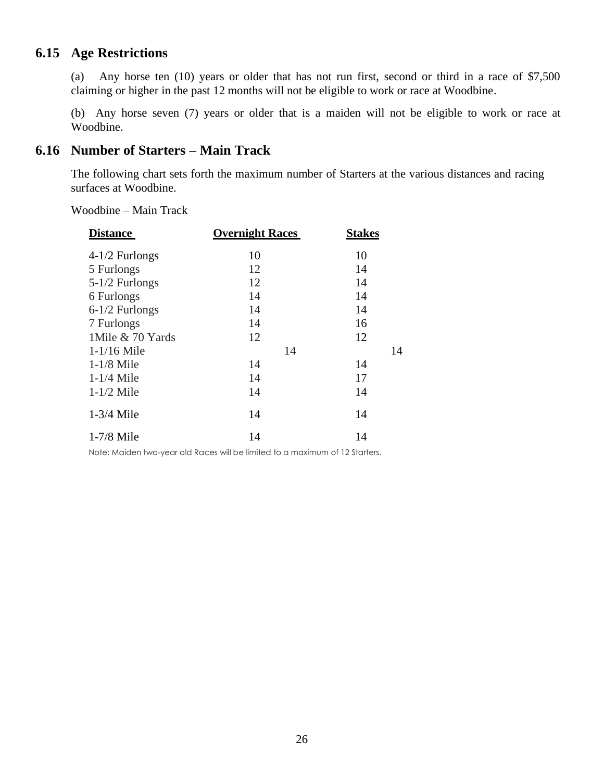# **6.15 Age Restrictions**

(a) Any horse ten (10) years or older that has not run first, second or third in a race of \$7,500 claiming or higher in the past 12 months will not be eligible to work or race at Woodbine.

(b) Any horse seven (7) years or older that is a maiden will not be eligible to work or race at Woodbine.

#### **6.16 Number of Starters – Main Track**

The following chart sets forth the maximum number of Starters at the various distances and racing surfaces at Woodbine.

Woodbine – Main Track

| <b>Distance</b>   | <b>Overnight Races</b> | <b>Stakes</b> |  |  |
|-------------------|------------------------|---------------|--|--|
| $4-1/2$ Furlongs  | 10                     | 10            |  |  |
| 5 Furlongs        | 12                     | 14            |  |  |
| $5-1/2$ Furlongs  | 12                     | 14            |  |  |
| 6 Furlongs        | 14                     | 14            |  |  |
| $6-1/2$ Furlongs  | 14                     | 14            |  |  |
| 7 Furlongs        | 14                     | 16            |  |  |
| 1 Mile & 70 Yards | 12                     | 12            |  |  |
| $1-1/16$ Mile     | 14                     | 14            |  |  |
| $1-1/8$ Mile      | 14                     | 14            |  |  |
| $1-1/4$ Mile      | 14                     | 17            |  |  |
| $1-1/2$ Mile      | 14                     | 14            |  |  |
| $1-3/4$ Mile      | 14                     | 14            |  |  |
| $1-7/8$ Mile      | 14                     | 14            |  |  |

Note: Maiden two-year old Races will be limited to a maximum of 12 Starters.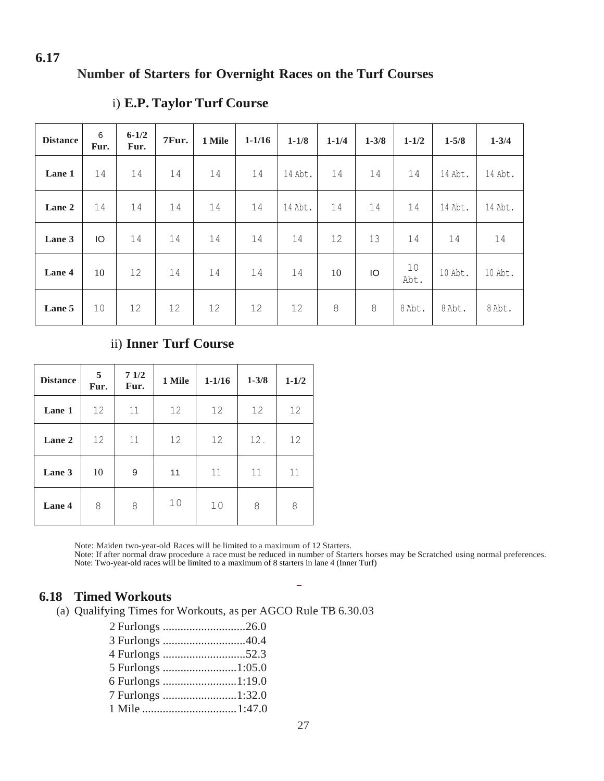# **Number of Starters for Overnight Races on the Turf Courses**

| <b>Distance</b> | 6<br>Fur. | $6 - 1/2$<br>Fur. | 7Fur. | 1 Mile | $1 - 1/16$ | $1 - 1/8$ | $1 - 1/4$ | $1 - 3/8$ | $1 - 1/2$  | $1 - 5/8$         | $1 - 3/4$ |
|-----------------|-----------|-------------------|-------|--------|------------|-----------|-----------|-----------|------------|-------------------|-----------|
| Lane 1          | 14        | 14                | 14    | 14     | 14         | 14 Abt.   | 14        | 14        | 14         | 14 Abt.           | 14 Abt.   |
| Lane 2          | 14        | 14                | 14    | 14     | 14         | 14 Abt.   | 14        | 14        | 14         | 14 Abt.           | 14 Abt.   |
| Lane 3          | IO.       | 14                | 14    | 14     | 14         | 14        | 12        | 13        | 14         | 14                | 14        |
| Lane 4          | 10        | 12                | 14    | 14     | 14         | 14        | 10        | IO        | 10<br>Abt. | $10$ $\Delta$ bt. | 10 Abt.   |
| Lane 5          | 10        | 12                | 12    | 12     | 12         | 12        | 8         | 8         | 8 Abt.     | 8 Abt.            | 8 Abt.    |

#### i) **E.P. Taylor Turf Course**

#### ii) **Inner Turf Course**

| <b>Distance</b> | 5<br>Fur. | 71/2<br>Fur. | 1 Mile | $1 - 1/16$ | $1 - 3/8$ | $1 - 1/2$ |
|-----------------|-----------|--------------|--------|------------|-----------|-----------|
| Lane 1          | 12        | 11           | 12     | 12         | 12        | 12        |
| Lane 2          | 12        | 11           | 12     | 12         | 12.       | 12        |
| Lane 3          | 10        | 9            | 11     | 11         | 11        | 11        |
| Lane 4          | 8         | 8            | 10     | 10         | 8         | 8         |

Note: Maiden two-year-old Races will be limited to a maximum of 12 Starters.

Note: If after normal draw procedure a race must be reduced in number of Starters horses may be Scratched using normal preferences. Note: Two-year-old races will be limited to a maximum of 8 starters in lane 4 (Inner Turf)

 $\overline{\phantom{a}}$ 

#### **6.18 Timed Workouts**

(a) Qualifying Times for Workouts, as per AGCO Rule TB 6.30.03

| 2 Furlongs 26.0   |  |
|-------------------|--|
|                   |  |
|                   |  |
|                   |  |
| 6 Furlongs 1:19.0 |  |
| 7 Furlongs 1:32.0 |  |
|                   |  |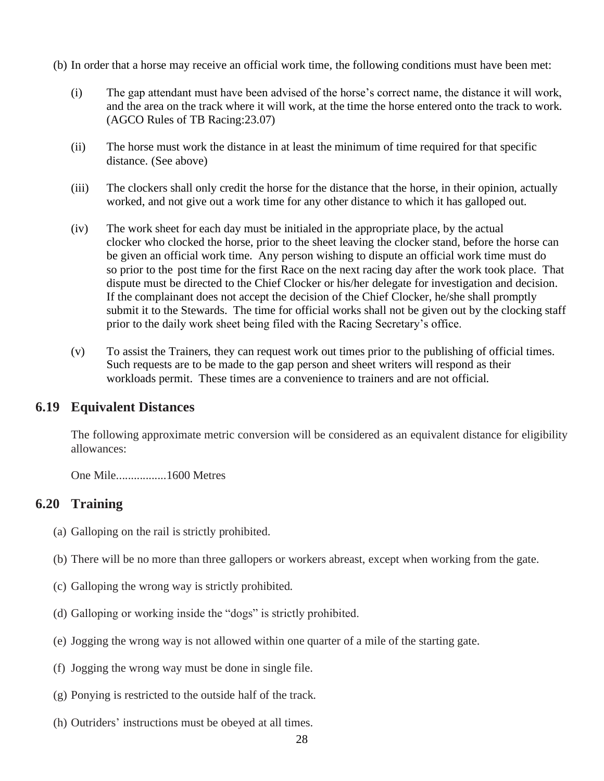(b) In order that a horse may receive an official work time, the following conditions must have been met:

- (i) The gap attendant must have been advised of the horse's correct name, the distance it will work, and the area on the track where it will work, at the time the horse entered onto the track to work. (AGCO Rules of TB Racing:23.07)
- (ii) The horse must work the distance in at least the minimum of time required for that specific distance. (See above)
- (iii) The clockers shall only credit the horse for the distance that the horse, in their opinion, actually worked, and not give out a work time for any other distance to which it has galloped out.
- (iv) The work sheet for each day must be initialed in the appropriate place, by the actual clocker who clocked the horse, prior to the sheet leaving the clocker stand, before the horse can be given an official work time. Any person wishing to dispute an official work time must do so prior to the post time for the first Race on the next racing day after the work took place. That dispute must be directed to the Chief Clocker or his/her delegate for investigation and decision. If the complainant does not accept the decision of the Chief Clocker, he/she shall promptly submit it to the Stewards. The time for official works shall not be given out by the clocking staff prior to the daily work sheet being filed with the Racing Secretary's office.
- (v) To assist the Trainers, they can request work out times prior to the publishing of official times. Such requests are to be made to the gap person and sheet writers will respond as their workloads permit. These times are a convenience to trainers and are not official.

#### **6.19 Equivalent Distances**

The following approximate metric conversion will be considered as an equivalent distance for eligibility allowances:

One Mile.................1600 Metres

#### **6.20 Training**

- (a) Galloping on the rail is strictly prohibited.
- (b) There will be no more than three gallopers or workers abreast, except when working from the gate.
- (c) Galloping the wrong way is strictly prohibited.
- (d) Galloping or working inside the "dogs" is strictly prohibited.
- (e) Jogging the wrong way is not allowed within one quarter of a mile of the starting gate.
- (f) Jogging the wrong way must be done in single file.
- (g) Ponying is restricted to the outside half of the track.
- (h) Outriders' instructions must be obeyed at all times.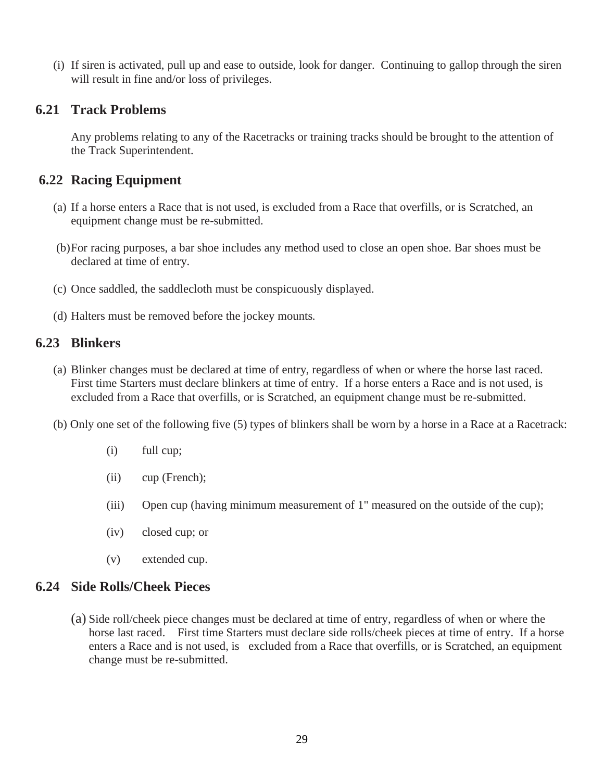(i) If siren is activated, pull up and ease to outside, look for danger. Continuing to gallop through the siren will result in fine and/or loss of privileges.

#### **6.21 Track Problems**

Any problems relating to any of the Racetracks or training tracks should be brought to the attention of the Track Superintendent.

# **6.22 Racing Equipment**

- (a) If a horse enters a Race that is not used, is excluded from a Race that overfills, or is Scratched, an equipment change must be re-submitted.
- (b)For racing purposes, a bar shoe includes any method used to close an open shoe. Bar shoes must be declared at time of entry.
- (c) Once saddled, the saddlecloth must be conspicuously displayed.
- (d) Halters must be removed before the jockey mounts.

# **6.23 Blinkers**

- (a) Blinker changes must be declared at time of entry, regardless of when or where the horse last raced. First time Starters must declare blinkers at time of entry. If a horse enters a Race and is not used, is excluded from a Race that overfills, or is Scratched, an equipment change must be re-submitted.
- (b) Only one set of the following five (5) types of blinkers shall be worn by a horse in a Race at a Racetrack:
	- (i) full cup;
	- (ii) cup (French);
	- (iii) Open cup (having minimum measurement of 1" measured on the outside of the cup);
	- (iv) closed cup; or
	- (v) extended cup.

# **6.24 Side Rolls/Cheek Pieces**

(a) Side roll/cheek piece changes must be declared at time of entry, regardless of when or where the horse last raced. First time Starters must declare side rolls/cheek pieces at time of entry. If a horse enters a Race and is not used, is excluded from a Race that overfills, or is Scratched, an equipment change must be re-submitted.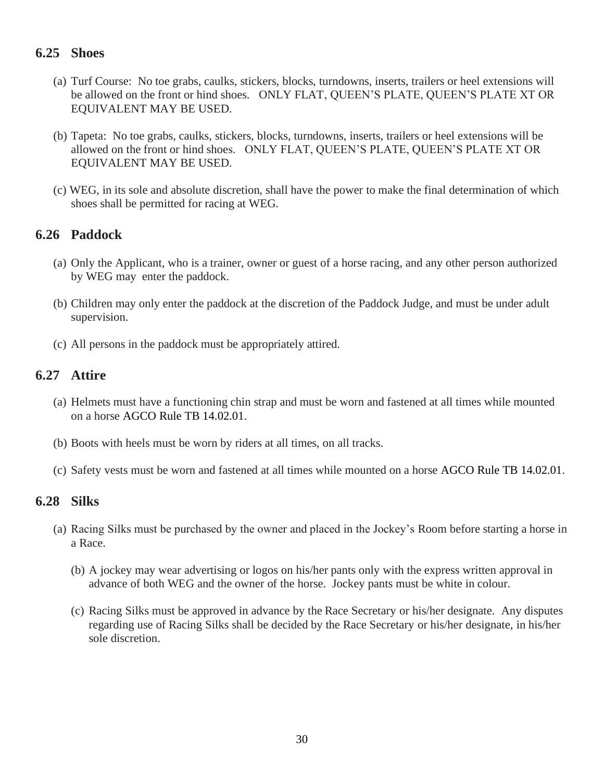# **6.25 Shoes**

- (a) Turf Course: No toe grabs, caulks, stickers, blocks, turndowns, inserts, trailers or heel extensions will be allowed on the front or hind shoes. ONLY FLAT, QUEEN'S PLATE, QUEEN'S PLATE XT OR EQUIVALENT MAY BE USED.
- (b) Tapeta: No toe grabs, caulks, stickers, blocks, turndowns, inserts, trailers or heel extensions will be allowed on the front or hind shoes. ONLY FLAT, QUEEN'S PLATE, QUEEN'S PLATE XT OR EQUIVALENT MAY BE USED.
- (c) WEG, in its sole and absolute discretion, shall have the power to make the final determination of which shoes shall be permitted for racing at WEG.

# **6.26 Paddock**

- (a) Only the Applicant, who is a trainer, owner or guest of a horse racing, and any other person authorized by WEG may enter the paddock.
- (b) Children may only enter the paddock at the discretion of the Paddock Judge, and must be under adult supervision.
- (c) All persons in the paddock must be appropriately attired.

# **6.27 Attire**

- (a) Helmets must have a functioning chin strap and must be worn and fastened at all times while mounted on a horse AGCO Rule TB 14.02.01.
- (b) Boots with heels must be worn by riders at all times, on all tracks.
- (c) Safety vests must be worn and fastened at all times while mounted on a horse AGCO Rule TB 14.02.01.

#### **6.28 Silks**

- (a) Racing Silks must be purchased by the owner and placed in the Jockey's Room before starting a horse in a Race.
	- (b) A jockey may wear advertising or logos on his/her pants only with the express written approval in advance of both WEG and the owner of the horse. Jockey pants must be white in colour.
	- (c) Racing Silks must be approved in advance by the Race Secretary or his/her designate. Any disputes regarding use of Racing Silks shall be decided by the Race Secretary or his/her designate, in his/her sole discretion.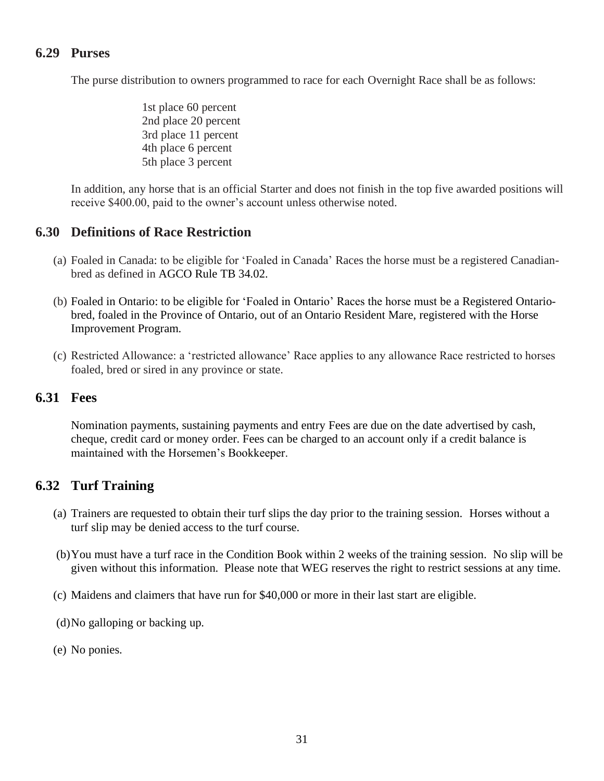# **6.29 Purses**

The purse distribution to owners programmed to race for each Overnight Race shall be as follows:

1st place 60 percent 2nd place 20 percent 3rd place 11 percent 4th place 6 percent 5th place 3 percent

In addition, any horse that is an official Starter and does not finish in the top five awarded positions will receive \$400.00, paid to the owner's account unless otherwise noted.

#### **6.30 Definitions of Race Restriction**

- (a) Foaled in Canada: to be eligible for 'Foaled in Canada' Races the horse must be a registered Canadianbred as defined in AGCO Rule TB 34.02.
- (b) Foaled in Ontario: to be eligible for 'Foaled in Ontario' Races the horse must be a Registered Ontariobred, foaled in the Province of Ontario, out of an Ontario Resident Mare, registered with the Horse Improvement Program.
- (c) Restricted Allowance: a 'restricted allowance' Race applies to any allowance Race restricted to horses foaled, bred or sired in any province or state.

#### **6.31 Fees**

Nomination payments, sustaining payments and entry Fees are due on the date advertised by cash, cheque, credit card or money order. Fees can be charged to an account only if a credit balance is maintained with the Horsemen's Bookkeeper.

#### **6.32 Turf Training**

- (a) Trainers are requested to obtain their turf slips the day prior to the training session. Horses without a turf slip may be denied access to the turf course.
- (b)You must have a turf race in the Condition Book within 2 weeks of the training session. No slip will be given without this information. Please note that WEG reserves the right to restrict sessions at any time.
- (c) Maidens and claimers that have run for \$40,000 or more in their last start are eligible.
- (d)No galloping or backing up.
- (e) No ponies.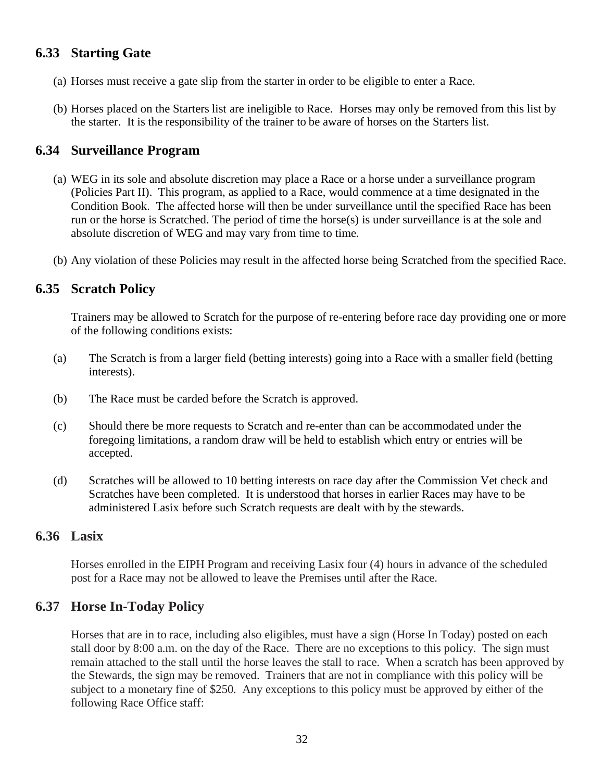# **6.33 Starting Gate**

- (a) Horses must receive a gate slip from the starter in order to be eligible to enter a Race.
- (b) Horses placed on the Starters list are ineligible to Race. Horses may only be removed from this list by the starter. It is the responsibility of the trainer to be aware of horses on the Starters list.

# **6.34 Surveillance Program**

- (a) WEG in its sole and absolute discretion may place a Race or a horse under a surveillance program (Policies Part II). This program, as applied to a Race, would commence at a time designated in the Condition Book. The affected horse will then be under surveillance until the specified Race has been run or the horse is Scratched. The period of time the horse(s) is under surveillance is at the sole and absolute discretion of WEG and may vary from time to time.
- (b) Any violation of these Policies may result in the affected horse being Scratched from the specified Race.

# **6.35 Scratch Policy**

Trainers may be allowed to Scratch for the purpose of re-entering before race day providing one or more of the following conditions exists:

- (a) The Scratch is from a larger field (betting interests) going into a Race with a smaller field (betting interests).
- (b) The Race must be carded before the Scratch is approved.
- (c) Should there be more requests to Scratch and re-enter than can be accommodated under the foregoing limitations, a random draw will be held to establish which entry or entries will be accepted.
- (d) Scratches will be allowed to 10 betting interests on race day after the Commission Vet check and Scratches have been completed. It is understood that horses in earlier Races may have to be administered Lasix before such Scratch requests are dealt with by the stewards.

# **6.36 Lasix**

Horses enrolled in the EIPH Program and receiving Lasix four (4) hours in advance of the scheduled post for a Race may not be allowed to leave the Premises until after the Race.

# **6.37 Horse In-Today Policy**

Horses that are in to race, including also eligibles, must have a sign (Horse In Today) posted on each stall door by 8:00 a.m. on the day of the Race. There are no exceptions to this policy. The sign must remain attached to the stall until the horse leaves the stall to race. When a scratch has been approved by the Stewards, the sign may be removed. Trainers that are not in compliance with this policy will be subject to a monetary fine of \$250. Any exceptions to this policy must be approved by either of the following Race Office staff: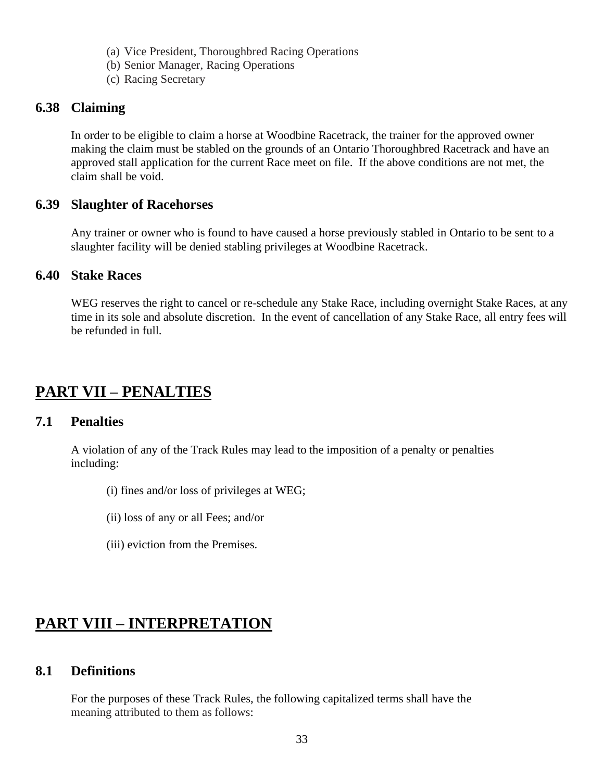- (a) Vice President, Thoroughbred Racing Operations
- (b) Senior Manager, Racing Operations
- (c) Racing Secretary

#### **6.38 Claiming**

In order to be eligible to claim a horse at Woodbine Racetrack, the trainer for the approved owner making the claim must be stabled on the grounds of an Ontario Thoroughbred Racetrack and have an approved stall application for the current Race meet on file. If the above conditions are not met, the claim shall be void.

#### **6.39 Slaughter of Racehorses**

Any trainer or owner who is found to have caused a horse previously stabled in Ontario to be sent to a slaughter facility will be denied stabling privileges at Woodbine Racetrack.

#### **6.40 Stake Races**

WEG reserves the right to cancel or re-schedule any Stake Race, including overnight Stake Races, at any time in its sole and absolute discretion. In the event of cancellation of any Stake Race, all entry fees will be refunded in full.

# **PART VII – PENALTIES**

#### **7.1 Penalties**

A violation of any of the Track Rules may lead to the imposition of a penalty or penalties including:

- (i) fines and/or loss of privileges at WEG;
- (ii) loss of any or all Fees; and/or
- (iii) eviction from the Premises.

# **PART VIII – INTERPRETATION**

#### **8.1 Definitions**

For the purposes of these Track Rules, the following capitalized terms shall have the meaning attributed to them as follows: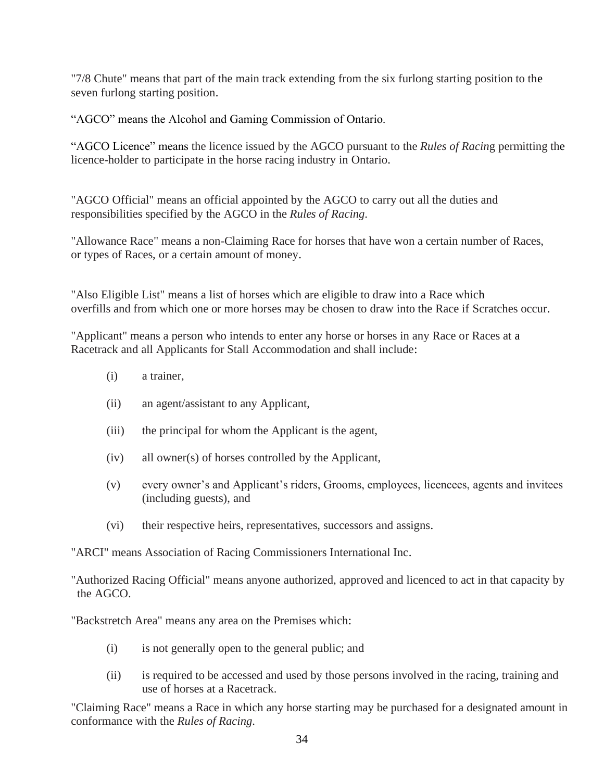"7/8 Chute" means that part of the main track extending from the six furlong starting position to the seven furlong starting position.

"AGCO" means the Alcohol and Gaming Commission of Ontario.

"AGCO Licence" means the licence issued by the AGCO pursuant to the *Rules of Racin*g permitting the licence-holder to participate in the horse racing industry in Ontario.

"AGCO Official" means an official appointed by the AGCO to carry out all the duties and responsibilities specified by the AGCO in the *Rules of Racing*.

"Allowance Race" means a non-Claiming Race for horses that have won a certain number of Races, or types of Races, or a certain amount of money.

"Also Eligible List" means a list of horses which are eligible to draw into a Race which overfills and from which one or more horses may be chosen to draw into the Race if Scratches occur.

"Applicant" means a person who intends to enter any horse or horses in any Race or Races at a Racetrack and all Applicants for Stall Accommodation and shall include:

- (i) a trainer,
- (ii) an agent/assistant to any Applicant,
- (iii) the principal for whom the Applicant is the agent,
- (iv) all owner(s) of horses controlled by the Applicant,
- (v) every owner's and Applicant's riders, Grooms, employees, licencees, agents and invitees (including guests), and
- (vi) their respective heirs, representatives, successors and assigns.

"ARCI" means Association of Racing Commissioners International Inc.

"Authorized Racing Official" means anyone authorized, approved and licenced to act in that capacity by the AGCO.

"Backstretch Area" means any area on the Premises which:

- (i) is not generally open to the general public; and
- (ii) is required to be accessed and used by those persons involved in the racing, training and use of horses at a Racetrack.

"Claiming Race" means a Race in which any horse starting may be purchased for a designated amount in conformance with the *Rules of Racing*.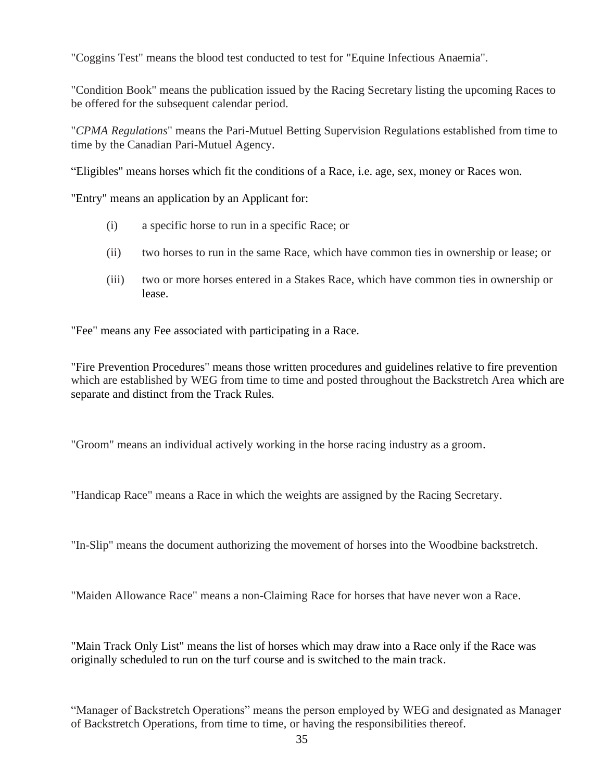"Coggins Test" means the blood test conducted to test for "Equine Infectious Anaemia".

"Condition Book" means the publication issued by the Racing Secretary listing the upcoming Races to be offered for the subsequent calendar period.

"*CPMA Regulations*" means the Pari-Mutuel Betting Supervision Regulations established from time to time by the Canadian Pari-Mutuel Agency.

"Eligibles" means horses which fit the conditions of a Race, i.e. age, sex, money or Races won.

"Entry" means an application by an Applicant for:

- (i) a specific horse to run in a specific Race; or
- (ii) two horses to run in the same Race, which have common ties in ownership or lease; or
- (iii) two or more horses entered in a Stakes Race, which have common ties in ownership or lease.

"Fee" means any Fee associated with participating in a Race.

"Fire Prevention Procedures" means those written procedures and guidelines relative to fire prevention which are established by WEG from time to time and posted throughout the Backstretch Area which are separate and distinct from the Track Rules.

"Groom" means an individual actively working in the horse racing industry as a groom.

"Handicap Race" means a Race in which the weights are assigned by the Racing Secretary.

"In-Slip" means the document authorizing the movement of horses into the Woodbine backstretch.

"Maiden Allowance Race" means a non-Claiming Race for horses that have never won a Race.

"Main Track Only List" means the list of horses which may draw into a Race only if the Race was originally scheduled to run on the turf course and is switched to the main track.

"Manager of Backstretch Operations" means the person employed by WEG and designated as Manager of Backstretch Operations, from time to time, or having the responsibilities thereof.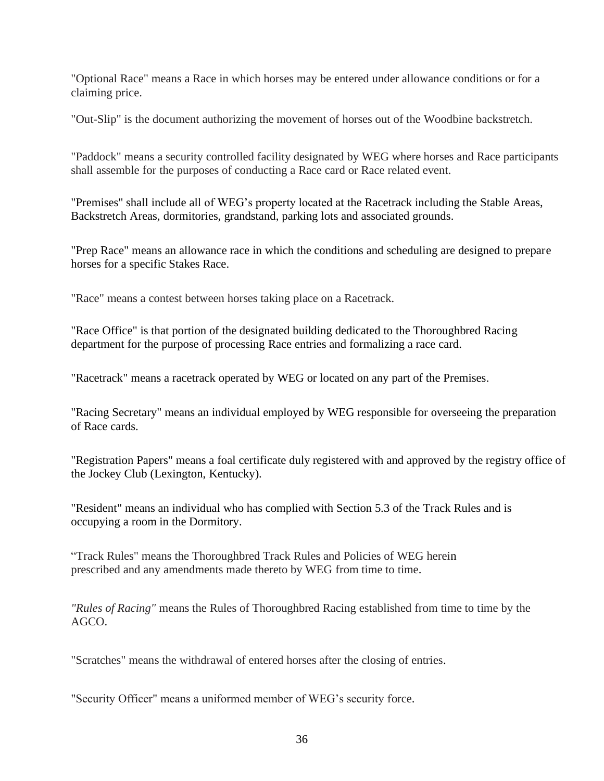"Optional Race" means a Race in which horses may be entered under allowance conditions or for a claiming price.

"Out-Slip" is the document authorizing the movement of horses out of the Woodbine backstretch.

"Paddock" means a security controlled facility designated by WEG where horses and Race participants shall assemble for the purposes of conducting a Race card or Race related event.

"Premises" shall include all of WEG's property located at the Racetrack including the Stable Areas, Backstretch Areas, dormitories, grandstand, parking lots and associated grounds.

"Prep Race" means an allowance race in which the conditions and scheduling are designed to prepare horses for a specific Stakes Race.

"Race" means a contest between horses taking place on a Racetrack.

"Race Office" is that portion of the designated building dedicated to the Thoroughbred Racing department for the purpose of processing Race entries and formalizing a race card.

"Racetrack" means a racetrack operated by WEG or located on any part of the Premises.

"Racing Secretary" means an individual employed by WEG responsible for overseeing the preparation of Race cards.

"Registration Papers" means a foal certificate duly registered with and approved by the registry office of the Jockey Club (Lexington, Kentucky).

"Resident" means an individual who has complied with Section 5.3 of the Track Rules and is occupying a room in the Dormitory.

"Track Rules" means the Thoroughbred Track Rules and Policies of WEG herein prescribed and any amendments made thereto by WEG from time to time.

*"Rules of Racing"* means the Rules of Thoroughbred Racing established from time to time by the AGCO.

"Scratches" means the withdrawal of entered horses after the closing of entries.

"Security Officer" means a uniformed member of WEG's security force.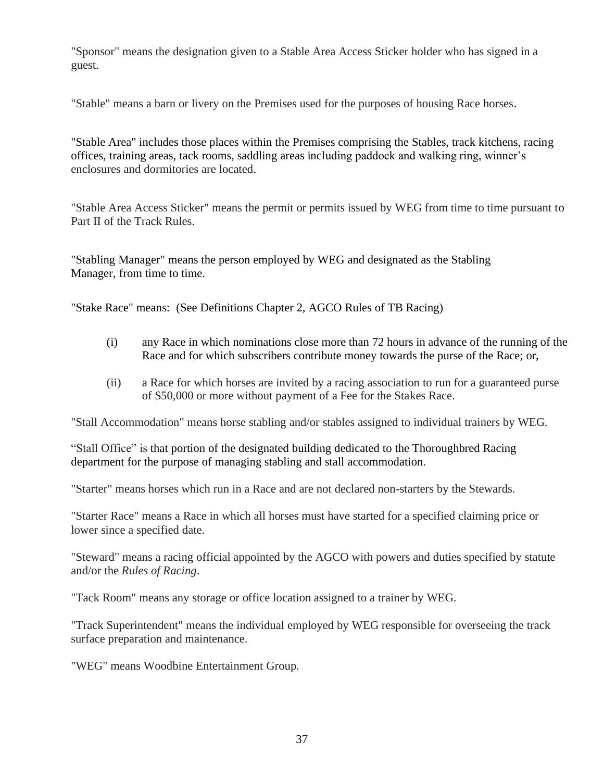"Sponsor" means the designation given to a Stable Area Access Sticker holder who has signed in a guest.

"Stable" means a barn or livery on the Premises used for the purposes of housing Race horses.

"Stable Area" includes those places within the Premises comprising the Stables, track kitchens, racing offices, training areas, tack rooms, saddling areas including paddock and walking ring, winner's enclosures and dormitories are located.

"Stable Area Access Sticker" means the permit or permits issued by WEG from time to time pursuant to Part II of the Track Rules.

"Stabling Manager" means the person employed by WEG and designated as the Stabling Manager, from time to time.

"Stake Race" means: (See Definitions Chapter 2, AGCO Rules of TB Racing)

- (i) any Race in which nominations close more than 72 hours in advance of the running of the Race and for which subscribers contribute money towards the purse of the Race; or,
- (ii) a Race for which horses are invited by a racing association to run for a guaranteed purse of \$50,000 or more without payment of a Fee for the Stakes Race.

"Stall Accommodation" means horse stabling and/or stables assigned to individual trainers by WEG.

"Stall Office" is that portion of the designated building dedicated to the Thoroughbred Racing department for the purpose of managing stabling and stall accommodation.

"Starter" means horses which run in a Race and are not declared non-starters by the Stewards.

"Starter Race" means a Race in which all horses must have started for a specified claiming price or lower since a specified date.

"Steward" means a racing official appointed by the AGCO with powers and duties specified by statute and/or the *Rules of Racing*.

"Tack Room" means any storage or office location assigned to a trainer by WEG.

"Track Superintendent" means the individual employed by WEG responsible for overseeing the track surface preparation and maintenance.

"WEG" means Woodbine Entertainment Group.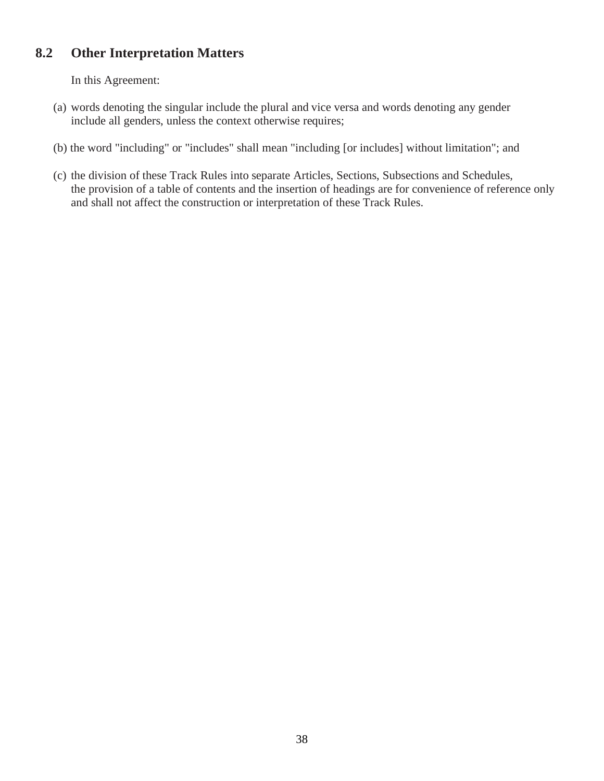# **8.2 Other Interpretation Matters**

In this Agreement:

- (a) words denoting the singular include the plural and vice versa and words denoting any gender include all genders, unless the context otherwise requires;
- (b) the word "including" or "includes" shall mean "including [or includes] without limitation"; and
- (c) the division of these Track Rules into separate Articles, Sections, Subsections and Schedules, the provision of a table of contents and the insertion of headings are for convenience of reference only and shall not affect the construction or interpretation of these Track Rules.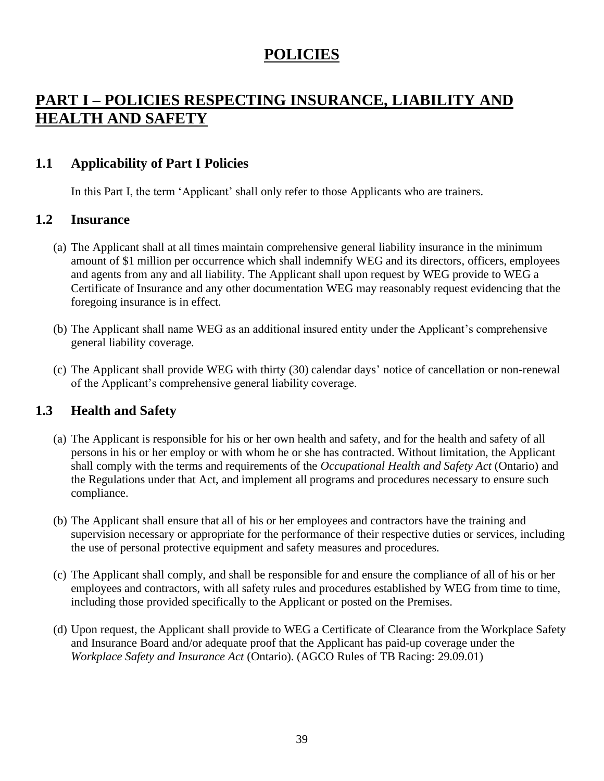# **POLICIES**

# **PART I – POLICIES RESPECTING INSURANCE, LIABILITY AND HEALTH AND SAFETY**

# **1.1 Applicability of Part I Policies**

In this Part I, the term 'Applicant' shall only refer to those Applicants who are trainers.

#### **1.2 Insurance**

- (a) The Applicant shall at all times maintain comprehensive general liability insurance in the minimum amount of \$1 million per occurrence which shall indemnify WEG and its directors, officers, employees and agents from any and all liability. The Applicant shall upon request by WEG provide to WEG a Certificate of Insurance and any other documentation WEG may reasonably request evidencing that the foregoing insurance is in effect.
- (b) The Applicant shall name WEG as an additional insured entity under the Applicant's comprehensive general liability coverage.
- (c) The Applicant shall provide WEG with thirty (30) calendar days' notice of cancellation or non-renewal of the Applicant's comprehensive general liability coverage.

# **1.3 Health and Safety**

- (a) The Applicant is responsible for his or her own health and safety, and for the health and safety of all persons in his or her employ or with whom he or she has contracted. Without limitation, the Applicant shall comply with the terms and requirements of the *Occupational Health and Safety Act* (Ontario) and the Regulations under that Act, and implement all programs and procedures necessary to ensure such compliance.
- (b) The Applicant shall ensure that all of his or her employees and contractors have the training and supervision necessary or appropriate for the performance of their respective duties or services, including the use of personal protective equipment and safety measures and procedures.
- (c) The Applicant shall comply, and shall be responsible for and ensure the compliance of all of his or her employees and contractors, with all safety rules and procedures established by WEG from time to time, including those provided specifically to the Applicant or posted on the Premises.
- (d) Upon request, the Applicant shall provide to WEG a Certificate of Clearance from the Workplace Safety and Insurance Board and/or adequate proof that the Applicant has paid-up coverage under the *Workplace Safety and Insurance Act* (Ontario). (AGCO Rules of TB Racing: 29.09.01)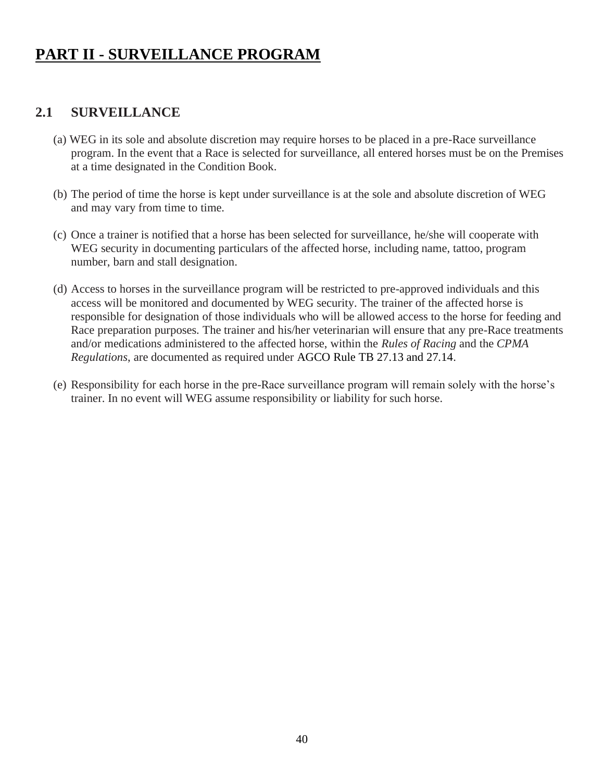# **PART II - SURVEILLANCE PROGRAM**

# **2.1 SURVEILLANCE**

- (a) WEG in its sole and absolute discretion may require horses to be placed in a pre-Race surveillance program. In the event that a Race is selected for surveillance, all entered horses must be on the Premises at a time designated in the Condition Book.
- (b) The period of time the horse is kept under surveillance is at the sole and absolute discretion of WEG and may vary from time to time.
- (c) Once a trainer is notified that a horse has been selected for surveillance, he/she will cooperate with WEG security in documenting particulars of the affected horse, including name, tattoo, program number, barn and stall designation.
- (d) Access to horses in the surveillance program will be restricted to pre-approved individuals and this access will be monitored and documented by WEG security. The trainer of the affected horse is responsible for designation of those individuals who will be allowed access to the horse for feeding and Race preparation purposes. The trainer and his/her veterinarian will ensure that any pre-Race treatments and/or medications administered to the affected horse, within the *Rules of Racing* and the *CPMA Regulations*, are documented as required under AGCO Rule TB 27.13 and 27.14.
- (e) Responsibility for each horse in the pre-Race surveillance program will remain solely with the horse's trainer. In no event will WEG assume responsibility or liability for such horse.